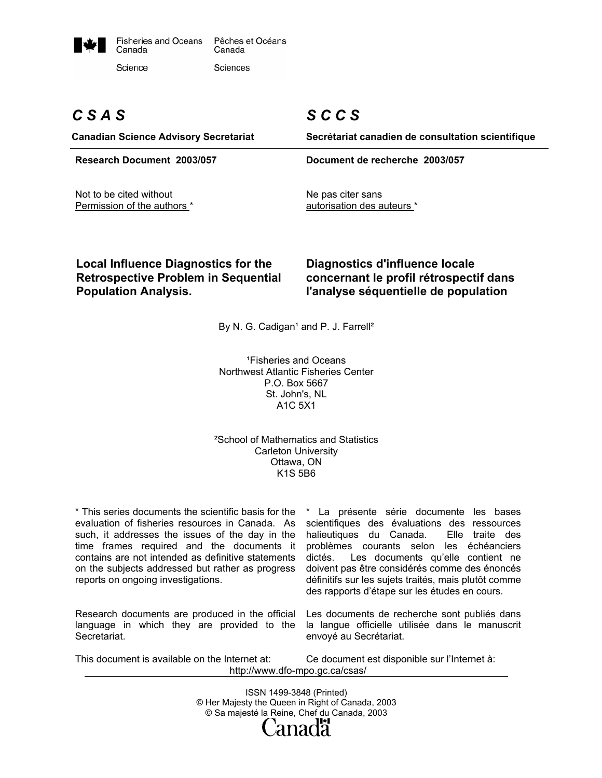

# *C S A S*

# *S C C S*

**Canadian Science Advisory Secretariat Secrétariat canadien de consultation scientifique Research Document 2003/057 Document de recherche 2003/057**  Not to be cited without Permission of the authors \* Ne pas citer sans autorisation des auteurs \*

## **Local Influence Diagnostics for the Retrospective Problem in Sequential Population Analysis.**

## **Diagnostics d'influence locale concernant le profil rétrospectif dans l'analyse séquentielle de population**

By N. G. Cadigan<sup>1</sup> and P. J. Farrell<sup>2</sup>

<sup>1</sup> Fisheries and Oceans Northwest Atlantic Fisheries Center P.O. Box 5667 St. John's, NL A1C 5X1

### ²School of Mathematics and Statistics Carleton University Ottawa, ON K1S 5B6

\* This series documents the scientific basis for the evaluation of fisheries resources in Canada. As such, it addresses the issues of the day in the time frames required and the documents it contains are not intended as definitive statements on the subjects addressed but rather as progress reports on ongoing investigations.

Research documents are produced in the official language in which they are provided to the Secretariat.

\* La présente série documente les bases scientifiques des évaluations des ressources halieutiques du Canada. Elle traite des problèmes courants selon les échéanciers dictés. Les documents qu'elle contient ne doivent pas être considérés comme des énoncés définitifs sur les sujets traités, mais plutôt comme des rapports d'étape sur les études en cours.

Les documents de recherche sont publiés dans la langue officielle utilisée dans le manuscrit envoyé au Secrétariat.

This document is available on the Internet at: Ce document est disponible sur l'Internet à: http://www.dfo-mpo.gc.ca/csas/

> ISSN 1499-3848 (Printed) © Her Majesty the Queen in Right of Canada, 2003 © Sa majesté la Reine, Chef du Canada, 2003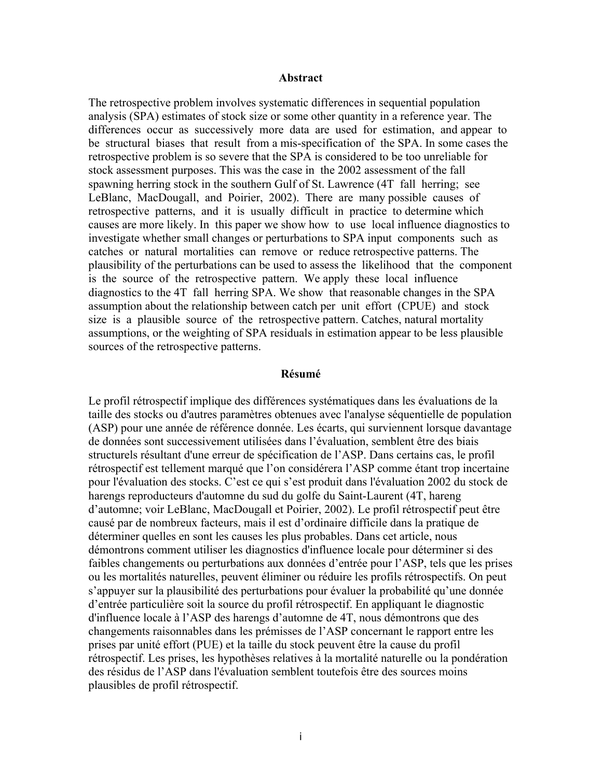#### **Abstract**

The retrospective problem involves systematic differences in sequential population analysis (SPA) estimates of stock size or some other quantity in a reference year. The differences occur as successively more data are used for estimation, and appear to be structural biases that result from a mis-specification of the SPA. In some cases the retrospective problem is so severe that the SPA is considered to be too unreliable for stock assessment purposes. This was the case in the 2002 assessment of the fall spawning herring stock in the southern Gulf of St. Lawrence (4T fall herring; see LeBlanc, MacDougall, and Poirier, 2002). There are many possible causes of retrospective patterns, and it is usually difficult in practice to determine which causes are more likely. In this paper we show how to use local influence diagnostics to investigate whether small changes or perturbations to SPA input components such as catches or natural mortalities can remove or reduce retrospective patterns. The plausibility of the perturbations can be used to assess the likelihood that the component is the source of the retrospective pattern. We apply these local influence diagnostics to the 4T fall herring SPA. We show that reasonable changes in the SPA assumption about the relationship between catch per unit effort (CPUE) and stock size is a plausible source of the retrospective pattern. Catches, natural mortality assumptions, or the weighting of SPA residuals in estimation appear to be less plausible sources of the retrospective patterns.

### **Résumé**

Le profil rétrospectif implique des différences systématiques dans les évaluations de la taille des stocks ou d'autres paramètres obtenues avec l'analyse séquentielle de population (ASP) pour une année de référence donnée. Les écarts, qui surviennent lorsque davantage de données sont successivement utilisées dans l'évaluation, semblent être des biais structurels résultant d'une erreur de spécification de l'ASP. Dans certains cas, le profil rétrospectif est tellement marqué que l'on considérera l'ASP comme étant trop incertaine pour l'évaluation des stocks. C'est ce qui s'est produit dans l'évaluation 2002 du stock de harengs reproducteurs d'automne du sud du golfe du Saint-Laurent (4T, hareng d'automne; voir LeBlanc, MacDougall et Poirier, 2002). Le profil rétrospectif peut être causé par de nombreux facteurs, mais il est d'ordinaire difficile dans la pratique de déterminer quelles en sont les causes les plus probables. Dans cet article, nous démontrons comment utiliser les diagnostics d'influence locale pour déterminer si des faibles changements ou perturbations aux données d'entrée pour l'ASP, tels que les prises ou les mortalités naturelles, peuvent éliminer ou réduire les profils rétrospectifs. On peut s'appuyer sur la plausibilité des perturbations pour évaluer la probabilité qu'une donnée d'entrée particulière soit la source du profil rétrospectif. En appliquant le diagnostic d'influence locale à l'ASP des harengs d'automne de 4T, nous démontrons que des changements raisonnables dans les prémisses de l'ASP concernant le rapport entre les prises par unité effort (PUE) et la taille du stock peuvent être la cause du profil rétrospectif. Les prises, les hypothèses relatives à la mortalité naturelle ou la pondération des résidus de l'ASP dans l'évaluation semblent toutefois être des sources moins plausibles de profil rétrospectif.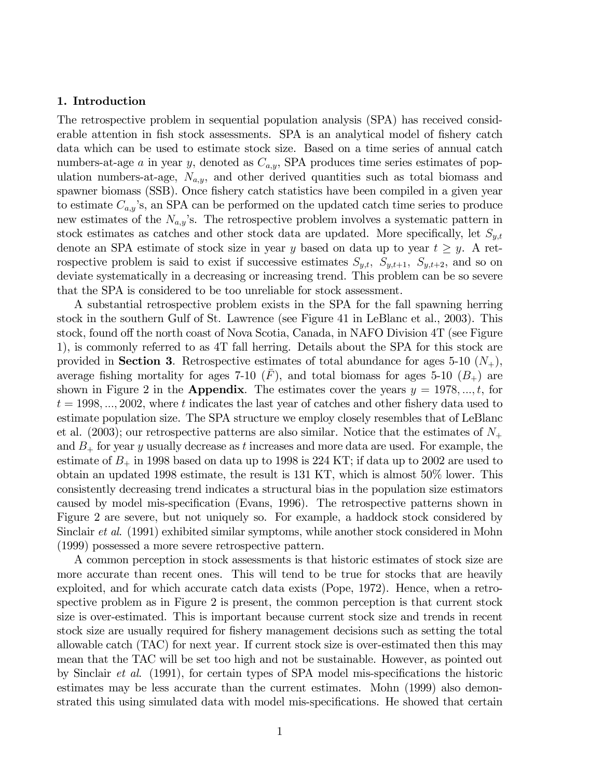#### 1. Introduction

The retrospective problem in sequential population analysis (SPA) has received considerable attention in fish stock assessments. SPA is an analytical model of fishery catch data which can be used to estimate stock size. Based on a time series of annual catch numbers-at-age a in year y, denoted as  $C_{a,y}$ , SPA produces time series estimates of population numbers-at-age,  $N_{a,y}$ , and other derived quantities such as total biomass and spawner biomass (SSB). Once fishery catch statistics have been compiled in a given year to estimate  $C_{a,y}$ 's, an SPA can be performed on the updated catch time series to produce new estimates of the  $N_{a,y}$ 's. The retrospective problem involves a systematic pattern in stock estimates as catches and other stock data are updated. More specifically, let  $S_{y,t}$ denote an SPA estimate of stock size in year y based on data up to year  $t \geq y$ . A retrospective problem is said to exist if successive estimates  $S_{y,t}$ ,  $S_{y,t+1}$ ,  $S_{y,t+2}$ , and so on deviate systematically in a decreasing or increasing trend. This problem can be so severe that the SPA is considered to be too unreliable for stock assessment.

A substantial retrospective problem exists in the SPA for the fall spawning herring stock in the southern Gulf of St. Lawrence (see Figure 41 in LeBlanc et al., 2003). This stock, found off the north coast of Nova Scotia, Canada, in NAFO Division 4T (see Figure 1), is commonly referred to as 4T fall herring. Details about the SPA for this stock are provided in **Section 3**. Retrospective estimates of total abundance for ages 5-10  $(N_{+})$ , average fishing mortality for ages 7-10  $(F)$ , and total biomass for ages 5-10  $(B_+)$  are shown in Figure 2 in the **Appendix**. The estimates cover the years  $y = 1978, ..., t$ , for  $t = 1998, \ldots, 2002$ , where t indicates the last year of catches and other fishery data used to estimate population size. The SPA structure we employ closely resembles that of LeBlanc et al.  $(2003)$ ; our retrospective patterns are also similar. Notice that the estimates of  $N_{+}$ and  $B_+$  for year y usually decrease as t increases and more data are used. For example, the estimate of  $B_+$  in 1998 based on data up to 1998 is 224 KT; if data up to 2002 are used to obtain an updated 1998 estimate, the result is 131 KT, which is almost 50% lower. This consistently decreasing trend indicates a structural bias in the population size estimators caused by model mis-specification (Evans, 1996). The retrospective patterns shown in Figure 2 are severe, but not uniquely so. For example, a haddock stock considered by Sinclair et al. (1991) exhibited similar symptoms, while another stock considered in Mohn (1999) possessed a more severe retrospective pattern.

A common perception in stock assessments is that historic estimates of stock size are more accurate than recent ones. This will tend to be true for stocks that are heavily exploited, and for which accurate catch data exists (Pope, 1972). Hence, when a retrospective problem as in Figure 2 is present, the common perception is that current stock size is over-estimated. This is important because current stock size and trends in recent stock size are usually required for fishery management decisions such as setting the total allowable catch (TAC) for next year. If current stock size is over-estimated then this may mean that the TAC will be set too high and not be sustainable. However, as pointed out by Sinclair et al. (1991), for certain types of SPA model mis-specifications the historic estimates may be less accurate than the current estimates. Mohn (1999) also demonstrated this using simulated data with model mis-specifications. He showed that certain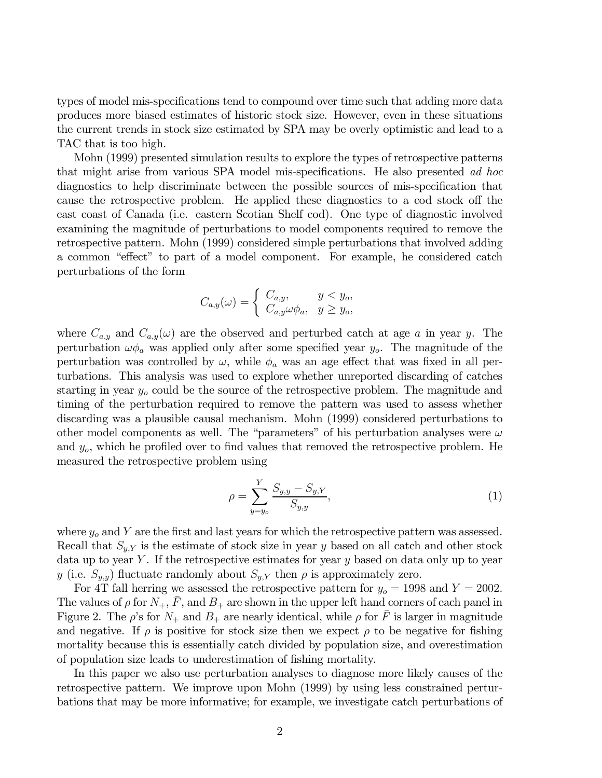types of model mis-specifications tend to compound over time such that adding more data produces more biased estimates of historic stock size. However, even in these situations the current trends in stock size estimated by SPA may be overly optimistic and lead to a TAC that is too high.

Mohn (1999) presented simulation results to explore the types of retrospective patterns that might arise from various SPA model mis-specifications. He also presented ad hoc diagnostics to help discriminate between the possible sources of mis-specification that cause the retrospective problem. He applied these diagnostics to a cod stock off the east coast of Canada (i.e. eastern Scotian Shelf cod). One type of diagnostic involved examining the magnitude of perturbations to model components required to remove the retrospective pattern. Mohn (1999) considered simple perturbations that involved adding a common "effect" to part of a model component. For example, he considered catch perturbations of the form

$$
C_{a,y}(\omega) = \begin{cases} C_{a,y}, & y < y_o, \\ C_{a,y}\omega \phi_a, & y \ge y_o, \end{cases}
$$

where  $C_{a,y}$  and  $C_{a,y}(\omega)$  are the observed and perturbed catch at age a in year y. The perturbation  $\omega \phi_a$  was applied only after some specified year  $y_o$ . The magnitude of the perturbation was controlled by  $\omega$ , while  $\phi_a$  was an age effect that was fixed in all perturbations. This analysis was used to explore whether unreported discarding of catches starting in year  $y<sub>o</sub>$  could be the source of the retrospective problem. The magnitude and timing of the perturbation required to remove the pattern was used to assess whether discarding was a plausible causal mechanism. Mohn (1999) considered perturbations to other model components as well. The "parameters" of his perturbation analyses were  $\omega$ and  $y<sub>o</sub>$ , which he profiled over to find values that removed the retrospective problem. He measured the retrospective problem using

$$
\rho = \sum_{y=y_o}^{Y} \frac{S_{y,y} - S_{y,Y}}{S_{y,y}},\tag{1}
$$

where  $y<sub>o</sub>$  and Y are the first and last years for which the retrospective pattern was assessed. Recall that  $S_{y,Y}$  is the estimate of stock size in year y based on all catch and other stock data up to year Y. If the retrospective estimates for year  $y$  based on data only up to year y (i.e.  $S_{y,y}$ ) fluctuate randomly about  $S_{y,Y}$  then  $\rho$  is approximately zero.

For 4T fall herring we assessed the retrospective pattern for  $y_o = 1998$  and  $Y = 2002$ . The values of  $\rho$  for  $N_+$ ,  $\overline{F}$ , and  $B_+$  are shown in the upper left hand corners of each panel in Figure 2. The  $\rho$ 's for  $N_+$  and  $B_+$  are nearly identical, while  $\rho$  for  $\overline{F}$  is larger in magnitude and negative. If  $\rho$  is positive for stock size then we expect  $\rho$  to be negative for fishing mortality because this is essentially catch divided by population size, and overestimation of population size leads to underestimation of fishing mortality.

In this paper we also use perturbation analyses to diagnose more likely causes of the retrospective pattern. We improve upon Mohn (1999) by using less constrained perturbations that may be more informative; for example, we investigate catch perturbations of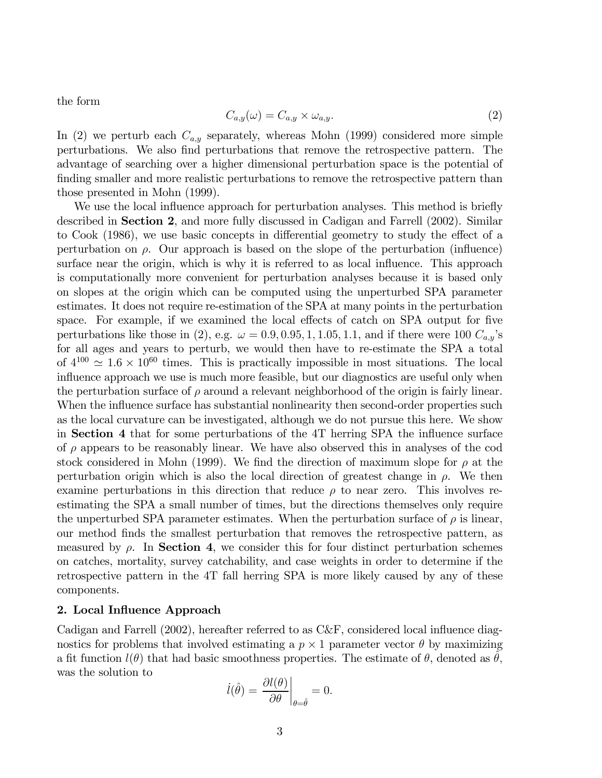the form

$$
C_{a,y}(\omega) = C_{a,y} \times \omega_{a,y}.\tag{2}
$$

In (2) we perturb each  $C_{a,y}$  separately, whereas Mohn (1999) considered more simple perturbations. We also find perturbations that remove the retrospective pattern. The advantage of searching over a higher dimensional perturbation space is the potential of finding smaller and more realistic perturbations to remove the retrospective pattern than those presented in Mohn (1999).

We use the local influence approach for perturbation analyses. This method is briefly described in Section 2, and more fully discussed in Cadigan and Farrell (2002). Similar to Cook (1986), we use basic concepts in differential geometry to study the effect of a perturbation on  $\rho$ . Our approach is based on the slope of the perturbation (influence) surface near the origin, which is why it is referred to as local influence. This approach is computationally more convenient for perturbation analyses because it is based only on slopes at the origin which can be computed using the unperturbed SPA parameter estimates. It does not require re-estimation of the SPA at many points in the perturbation space. For example, if we examined the local effects of catch on SPA output for five perturbations like those in (2), e.g.  $\omega = 0.9, 0.95, 1, 1.05, 1.1$ , and if there were 100  $C_{a,y}$ 's for all ages and years to perturb, we would then have to re-estimate the SPA a total of  $4^{100} \simeq 1.6 \times 10^{60}$  times. This is practically impossible in most situations. The local influence approach we use is much more feasible, but our diagnostics are useful only when the perturbation surface of  $\rho$  around a relevant neighborhood of the origin is fairly linear. When the influence surface has substantial nonlinearity then second-order properties such as the local curvature can be investigated, although we do not pursue this here. We show in Section 4 that for some perturbations of the 4T herring SPA the influence surface of  $\rho$  appears to be reasonably linear. We have also observed this in analyses of the cod stock considered in Mohn (1999). We find the direction of maximum slope for  $\rho$  at the perturbation origin which is also the local direction of greatest change in  $\rho$ . We then examine perturbations in this direction that reduce  $\rho$  to near zero. This involves reestimating the SPA a small number of times, but the directions themselves only require the unperturbed SPA parameter estimates. When the perturbation surface of  $\rho$  is linear, our method finds the smallest perturbation that removes the retrospective pattern, as measured by  $\rho$ . In **Section 4**, we consider this for four distinct perturbation schemes on catches, mortality, survey catchability, and case weights in order to determine if the retrospective pattern in the 4T fall herring SPA is more likely caused by any of these components.

#### 2. Local Influence Approach

Cadigan and Farrell (2002), hereafter referred to as C&F, considered local influence diagnostics for problems that involved estimating a  $p \times 1$  parameter vector  $\theta$  by maximizing a fit function  $l(\theta)$  that had basic smoothness properties. The estimate of  $\theta$ , denoted as  $\theta$ , was the solution to

$$
\dot{l}(\hat{\theta}) = \frac{\partial l(\theta)}{\partial \theta}\bigg|_{\theta = \hat{\theta}} = 0.
$$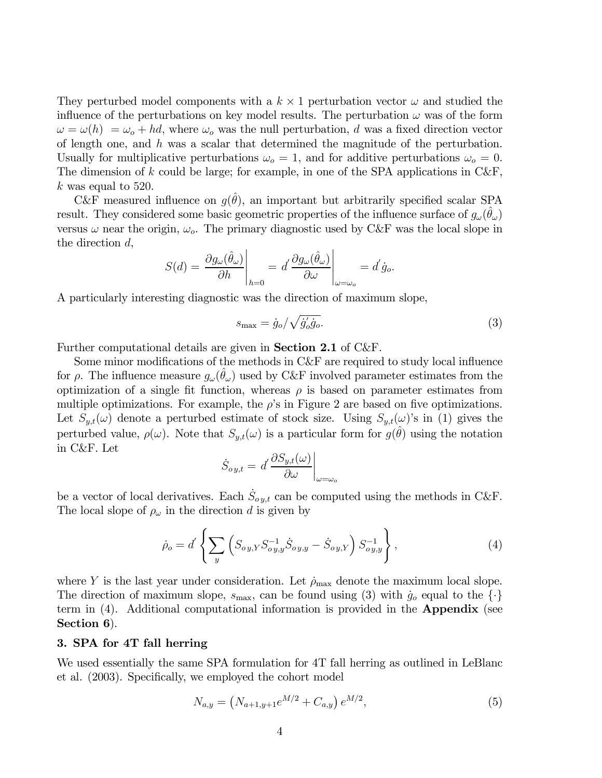They perturbed model components with a  $k \times 1$  perturbation vector  $\omega$  and studied the influence of the perturbations on key model results. The perturbation  $\omega$  was of the form  $\omega = \omega(h) = \omega_o + hd$ , where  $\omega_o$  was the null perturbation, d was a fixed direction vector of length one, and h was a scalar that determined the magnitude of the perturbation. Usually for multiplicative perturbations  $\omega_o = 1$ , and for additive perturbations  $\omega_o = 0$ . The dimension of k could be large; for example, in one of the SPA applications in  $C\&F$ ,  $k$  was equal to 520.

C&F measured influence on  $g(\hat{\theta})$ , an important but arbitrarily specified scalar SPA result. They considered some basic geometric properties of the influence surface of  $g_{\omega}(\theta_{\omega})$ versus  $\omega$  near the origin,  $\omega_o$ . The primary diagnostic used by C&F was the local slope in the direction d,

$$
S(d) = \frac{\partial g_{\omega}(\hat{\theta}_{\omega})}{\partial h}\Big|_{h=0} = d' \frac{\partial g_{\omega}(\hat{\theta}_{\omega})}{\partial \omega}\Big|_{\omega=\omega_o} = d' \dot{g}_o.
$$

A particularly interesting diagnostic was the direction of maximum slope,

$$
s_{\text{max}} = \dot{g}_o / \sqrt{\dot{g}_o' \dot{g}_o}. \tag{3}
$$

Further computational details are given in Section 2.1 of C&F.

Some minor modifications of the methods in C&F are required to study local influence for  $\rho$ . The influence measure  $g_{\omega}(\theta_{\omega})$  used by C&F involved parameter estimates from the optimization of a single fit function, whereas  $\rho$  is based on parameter estimates from multiple optimizations. For example, the  $\rho$ 's in Figure 2 are based on five optimizations. Let  $S_{y,t}(\omega)$  denote a perturbed estimate of stock size. Using  $S_{y,t}(\omega)$ 's in (1) gives the perturbed value,  $\rho(\omega)$ . Note that  $S_{y,t}(\omega)$  is a particular form for  $g(\hat{\theta})$  using the notation in C&F. Let

$$
\dot{S}_{oy,t} = d' \frac{\partial S_{y,t}(\omega)}{\partial \omega}\bigg|_{\omega=\omega_o}
$$

be a vector of local derivatives. Each  $\dot{S}_{oy,t}$  can be computed using the methods in C&F. The local slope of  $\rho_{\omega}$  in the direction d is given by

$$
\dot{\rho}_o = d' \left\{ \sum_y \left( S_{oy,Y} S_{oy,y}^{-1} \dot{S}_{oy,y} - \dot{S}_{oy,Y} \right) S_{oy,y}^{-1} \right\},\tag{4}
$$

where Y is the last year under consideration. Let  $\rho_{\text{max}}$  denote the maximum local slope. The direction of maximum slope,  $s_{\text{max}}$ , can be found using (3) with  $\dot{g}_o$  equal to the  $\{\cdot\}$ term in (4). Additional computational information is provided in the Appendix (see Section 6).

#### 3. SPA for 4T fall herring

We used essentially the same SPA formulation for 4T fall herring as outlined in LeBlanc et al. (2003). Specifically, we employed the cohort model

$$
N_{a,y} = (N_{a+1,y+1}e^{M/2} + C_{a,y})e^{M/2},
$$
\n(5)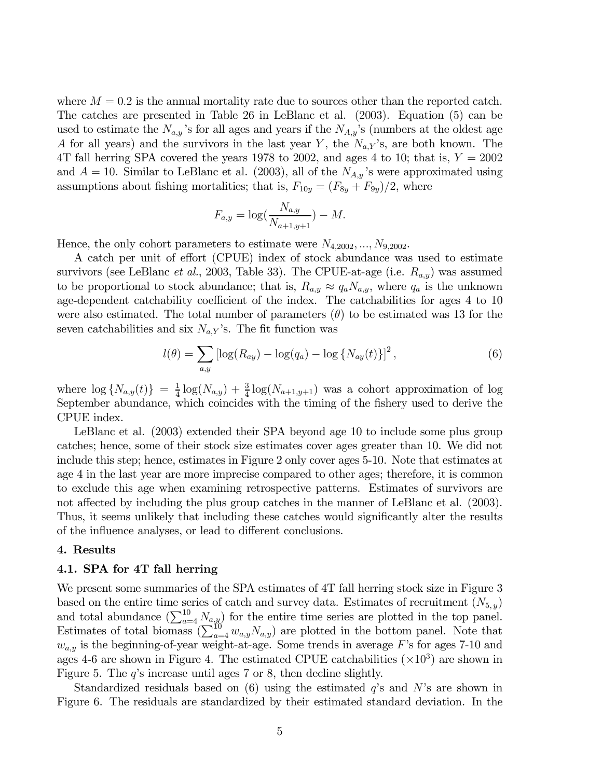where  $M = 0.2$  is the annual mortality rate due to sources other than the reported catch. The catches are presented in Table 26 in LeBlanc et al. (2003). Equation (5) can be used to estimate the  $N_{a,y}$ 's for all ages and years if the  $N_{A,y}$ 's (numbers at the oldest age A for all years) and the survivors in the last year Y, the  $N_{a,Y}$ 's, are both known. The 4T fall herring SPA covered the years 1978 to 2002, and ages 4 to 10; that is,  $Y = 2002$ and  $A = 10$ . Similar to LeBlanc et al. (2003), all of the  $N_{A,y}$ 's were approximated using assumptions about fishing mortalities; that is,  $F_{10y} = (F_{8y} + F_{9y})/2$ , where

$$
F_{a,y} = \log(\frac{N_{a,y}}{N_{a+1,y+1}}) - M.
$$

Hence, the only cohort parameters to estimate were  $N_{4,2002},...,N_{9,2002}$ .

A catch per unit of effort (CPUE) index of stock abundance was used to estimate survivors (see LeBlanc *et al.*, 2003, Table 33). The CPUE-at-age (i.e.  $R_{a,y}$ ) was assumed to be proportional to stock abundance; that is,  $R_{a,y} \approx q_a N_{a,y}$ , where  $q_a$  is the unknown age-dependent catchability coefficient of the index. The catchabilities for ages 4 to 10 were also estimated. The total number of parameters  $(\theta)$  to be estimated was 13 for the seven catchabilities and six  $N_{a,Y}$ 's. The fit function was

$$
l(\theta) = \sum_{a,y} \left[ \log(R_{ay}) - \log(q_a) - \log\{N_{ay}(t)\} \right]^2, \tag{6}
$$

where  $\log\{N_{a,y}(t)\} = \frac{1}{4}\log(N_{a,y}) + \frac{3}{4}\log(N_{a+1,y+1})$  was a cohort approximation of log September abundance, which coincides with the timing of the fishery used to derive the CPUE index.

LeBlanc et al. (2003) extended their SPA beyond age 10 to include some plus group catches; hence, some of their stock size estimates cover ages greater than 10. We did not include this step; hence, estimates in Figure 2 only cover ages 5-10. Note that estimates at age 4 in the last year are more imprecise compared to other ages; therefore, it is common to exclude this age when examining retrospective patterns. Estimates of survivors are not affected by including the plus group catches in the manner of LeBlanc et al. (2003). Thus, it seems unlikely that including these catches would significantly alter the results of the influence analyses, or lead to different conclusions.

#### 4. Results

### 4.1. SPA for 4T fall herring

We present some summaries of the SPA estimates of 4T fall herring stock size in Figure 3 based on the entire time series of catch and survey data. Estimates of recruitment  $(N_{5,y})$ and total abundance  $(\sum_{a=4}^{10} N_{a,y})$  for the entire time series are plotted in the top panel. Estimates of total biomass  $(\sum_{a=4}^{10} w_{a,y} N_{a,y})$  are plotted in the bottom panel. Note that  $w_{a,y}$  is the beginning-of-year weight-at-age. Some trends in average F's for ages 7-10 and ages 4-6 are shown in Figure 4. The estimated CPUE catchabilities  $(\times 10^3)$  are shown in Figure 5. The  $q$ 's increase until ages 7 or 8, then decline slightly.

Standardized residuals based on  $(6)$  using the estimated q's and N's are shown in Figure 6. The residuals are standardized by their estimated standard deviation. In the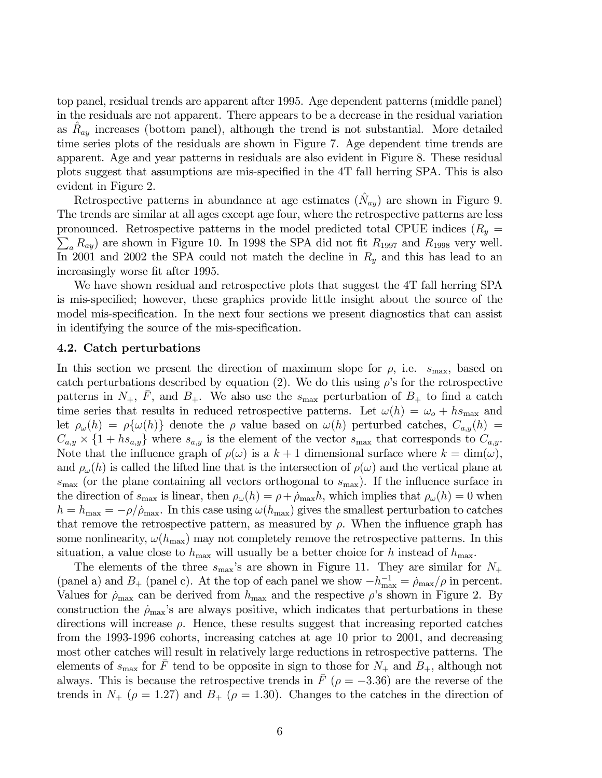top panel, residual trends are apparent after 1995. Age dependent patterns (middle panel) in the residuals are not apparent. There appears to be a decrease in the residual variation as  $R_{ay}$  increases (bottom panel), although the trend is not substantial. More detailed time series plots of the residuals are shown in Figure 7. Age dependent time trends are apparent. Age and year patterns in residuals are also evident in Figure 8. These residual plots suggest that assumptions are mis-specified in the 4T fall herring SPA. This is also evident in Figure 2.

Retrospective patterns in abundance at age estimates  $(\hat{N}_{au})$  are shown in Figure 9. The trends are similar at all ages except age four, where the retrospective patterns are less pronounced. Retrospective patterns in the model predicted total CPUE indices  $(R_y =$  $\sum_a R_{ay}$ ) are shown in Figure 10. In 1998 the SPA did not fit  $R_{1997}$  and  $R_{1998}$  very well. In 2001 and 2002 the SPA could not match the decline in  $R_y$  and this has lead to an increasingly worse fit after 1995.

We have shown residual and retrospective plots that suggest the 4T fall herring SPA is mis-specified; however, these graphics provide little insight about the source of the model mis-specification. In the next four sections we present diagnostics that can assist in identifying the source of the mis-specification.

#### 4.2. Catch perturbations

In this section we present the direction of maximum slope for  $\rho$ , i.e.  $s_{\text{max}}$ , based on catch perturbations described by equation (2). We do this using  $\rho$ 's for the retrospective patterns in  $N_+$ , F, and  $B_+$ . We also use the  $s_{\text{max}}$  perturbation of  $B_+$  to find a catch time series that results in reduced retrospective patterns. Let  $\omega(h) = \omega_o + h s_{\text{max}}$  and let  $\rho_\omega(h) = \rho\{\omega(h)\}\$  denote the  $\rho$  value based on  $\omega(h)$  perturbed catches,  $C_{a,y}(h) =$  $C_{a,y} \times \{1 + hs_{a,y}\}\$  where  $s_{a,y}$  is the element of the vector  $s_{\text{max}}$  that corresponds to  $C_{a,y}$ . Note that the influence graph of  $\rho(\omega)$  is a  $k+1$  dimensional surface where  $k = \dim(\omega)$ , and  $\rho_\omega(h)$  is called the lifted line that is the intersection of  $\rho(\omega)$  and the vertical plane at  $s_{\text{max}}$  (or the plane containing all vectors orthogonal to  $s_{\text{max}}$ ). If the influence surface in the direction of  $s_{\text{max}}$  is linear, then  $\rho_\omega(h) = \rho + \dot{\rho}_{\text{max}}h$ , which implies that  $\rho_\omega(h) = 0$  when  $h = h_{\text{max}} = -\rho/\dot{\rho}_{\text{max}}$ . In this case using  $\omega(h_{\text{max}})$  gives the smallest perturbation to catches that remove the retrospective pattern, as measured by  $\rho$ . When the influence graph has some nonlinearity,  $\omega(h_{\text{max}})$  may not completely remove the retrospective patterns. In this situation, a value close to  $h_{\text{max}}$  will usually be a better choice for h instead of  $h_{\text{max}}$ .

The elements of the three  $s_{\text{max}}$ 's are shown in Figure 11. They are similar for  $N_+$ (panel a) and  $B_+$  (panel c). At the top of each panel we show  $-h_{\text{max}}^{-1} = \rho_{\text{max}}/\rho$  in percent. Values for  $\rho_{\text{max}}$  can be derived from  $h_{\text{max}}$  and the respective  $\rho$ 's shown in Figure 2. By construction the  $\rho_{\text{max}}$ 's are always positive, which indicates that perturbations in these directions will increase  $\rho$ . Hence, these results suggest that increasing reported catches from the 1993-1996 cohorts, increasing catches at age 10 prior to 2001, and decreasing most other catches will result in relatively large reductions in retrospective patterns. The elements of  $s_{\text{max}}$  for  $\bar{F}$  tend to be opposite in sign to those for  $N_+$  and  $B_+$ , although not always. This is because the retrospective trends in  $F(\rho = -3.36)$  are the reverse of the trends in  $N_{+}$  ( $\rho = 1.27$ ) and  $B_{+}$  ( $\rho = 1.30$ ). Changes to the catches in the direction of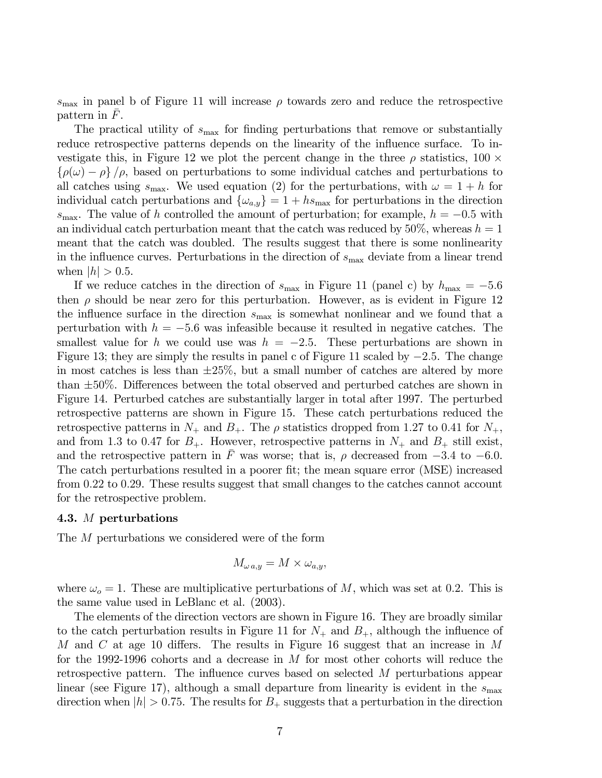$s_{\text{max}}$  in panel b of Figure 11 will increase  $\rho$  towards zero and reduce the retrospective pattern in  $F$ .

The practical utility of  $s_{\text{max}}$  for finding perturbations that remove or substantially reduce retrospective patterns depends on the linearity of the influence surface. To investigate this, in Figure 12 we plot the percent change in the three  $\rho$  statistics, 100  $\times$  $\{\rho(\omega) - \rho\}/\rho$ , based on perturbations to some individual catches and perturbations to all catches using  $s_{\text{max}}$ . We used equation (2) for the perturbations, with  $\omega = 1 + h$  for individual catch perturbations and  $\{\omega_{a,y}\}=1+h s_{\text{max}}$  for perturbations in the direction s<sub>max</sub>. The value of h controlled the amount of perturbation; for example,  $h = -0.5$  with an individual catch perturbation meant that the catch was reduced by  $50\%$ , whereas  $h = 1$ meant that the catch was doubled. The results suggest that there is some nonlinearity in the influence curves. Perturbations in the direction of  $s_{\text{max}}$  deviate from a linear trend when  $|h| > 0.5$ .

If we reduce catches in the direction of  $s_{\text{max}}$  in Figure 11 (panel c) by  $h_{\text{max}} = -5.6$ then  $\rho$  should be near zero for this perturbation. However, as is evident in Figure 12 the influence surface in the direction  $s_{\text{max}}$  is somewhat nonlinear and we found that a perturbation with  $h = -5.6$  was infeasible because it resulted in negative catches. The smallest value for h we could use was  $h = -2.5$ . These perturbations are shown in Figure 13; they are simply the results in panel c of Figure 11 scaled by  $-2.5$ . The change in most catches is less than  $\pm 25\%$ , but a small number of catches are altered by more than ±50%. Differences between the total observed and perturbed catches are shown in Figure 14. Perturbed catches are substantially larger in total after 1997. The perturbed retrospective patterns are shown in Figure 15. These catch perturbations reduced the retrospective patterns in  $N_+$  and  $B_+$ . The  $\rho$  statistics dropped from 1.27 to 0.41 for  $N_+$ , and from 1.3 to 0.47 for  $B_+$ . However, retrospective patterns in  $N_+$  and  $B_+$  still exist, and the retrospective pattern in  $\overline{F}$  was worse; that is,  $\rho$  decreased from  $-3.4$  to  $-6.0$ . The catch perturbations resulted in a poorer fit; the mean square error (MSE) increased from 0.22 to 0.29. These results suggest that small changes to the catches cannot account for the retrospective problem.

#### 4.3. M perturbations

The M perturbations we considered were of the form

$$
M_{\omega a,y}=M\times \omega_{a,y},
$$

where  $\omega_o = 1$ . These are multiplicative perturbations of M, which was set at 0.2. This is the same value used in LeBlanc et al. (2003).

The elements of the direction vectors are shown in Figure 16. They are broadly similar to the catch perturbation results in Figure 11 for  $N_+$  and  $B_+$ , although the influence of M and C at age 10 differs. The results in Figure 16 suggest that an increase in M for the 1992-1996 cohorts and a decrease in M for most other cohorts will reduce the retrospective pattern. The influence curves based on selected M perturbations appear linear (see Figure 17), although a small departure from linearity is evident in the  $s_{\text{max}}$ direction when  $|h| > 0.75$ . The results for  $B_+$  suggests that a perturbation in the direction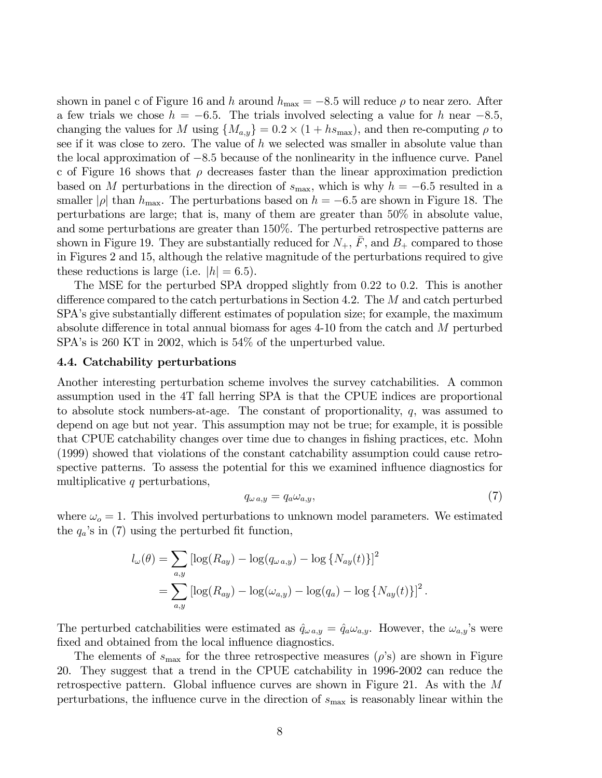shown in panel c of Figure 16 and h around  $h_{\text{max}} = -8.5$  will reduce  $\rho$  to near zero. After a few trials we chose  $h = -6.5$ . The trials involved selecting a value for h near  $-8.5$ , changing the values for M using  ${M_{a,y}} = 0.2 \times (1 + h s_{\text{max}})$ , and then re-computing  $\rho$  to see if it was close to zero. The value of  $h$  we selected was smaller in absolute value than the local approximation of −8.5 because of the nonlinearity in the influence curve. Panel c of Figure 16 shows that  $\rho$  decreases faster than the linear approximation prediction based on M perturbations in the direction of  $s_{\text{max}}$ , which is why  $h = -6.5$  resulted in a smaller |ρ| than  $h_{\text{max}}$ . The perturbations based on  $h = -6.5$  are shown in Figure 18. The perturbations are large; that is, many of them are greater than 50% in absolute value, and some perturbations are greater than 150%. The perturbed retrospective patterns are shown in Figure 19. They are substantially reduced for  $N_{+}$ ,  $\overline{F}$ , and  $B_{+}$  compared to those in Figures 2 and 15, although the relative magnitude of the perturbations required to give these reductions is large (i.e.  $|h| = 6.5$ ).

The MSE for the perturbed SPA dropped slightly from 0.22 to 0.2. This is another difference compared to the catch perturbations in Section 4.2. The M and catch perturbed SPA's give substantially different estimates of population size; for example, the maximum absolute difference in total annual biomass for ages 4-10 from the catch and M perturbed SPA's is 260 KT in 2002, which is 54\% of the unperturbed value.

## 4.4. Catchability perturbations

Another interesting perturbation scheme involves the survey catchabilities. A common assumption used in the 4T fall herring SPA is that the CPUE indices are proportional to absolute stock numbers-at-age. The constant of proportionality, q, was assumed to depend on age but not year. This assumption may not be true; for example, it is possible that CPUE catchability changes over time due to changes in fishing practices, etc. Mohn (1999) showed that violations of the constant catchability assumption could cause retrospective patterns. To assess the potential for this we examined influence diagnostics for multiplicative q perturbations,

$$
q_{\omega a,y} = q_a \omega_{a,y},\tag{7}
$$

where  $\omega_o = 1$ . This involved perturbations to unknown model parameters. We estimated the  $q_a$ 's in (7) using the perturbed fit function,

$$
l_{\omega}(\theta) = \sum_{a,y} \left[ \log(R_{ay}) - \log(q_{\omega a,y}) - \log\{N_{ay}(t)\}\right]^2
$$
  
= 
$$
\sum_{a,y} \left[ \log(R_{ay}) - \log(\omega_{a,y}) - \log(q_a) - \log\{N_{ay}(t)\}\right]^2.
$$

The perturbed catchabilities were estimated as  $\hat{q}_{\omega a,y} = \hat{q}_a \omega_{a,y}$ . However, the  $\omega_{a,y}$ 's were fixed and obtained from the local influence diagnostics.

The elements of  $s_{\text{max}}$  for the three retrospective measures  $(\rho's)$  are shown in Figure 20. They suggest that a trend in the CPUE catchability in 1996-2002 can reduce the retrospective pattern. Global influence curves are shown in Figure 21. As with the M perturbations, the influence curve in the direction of  $s_{\text{max}}$  is reasonably linear within the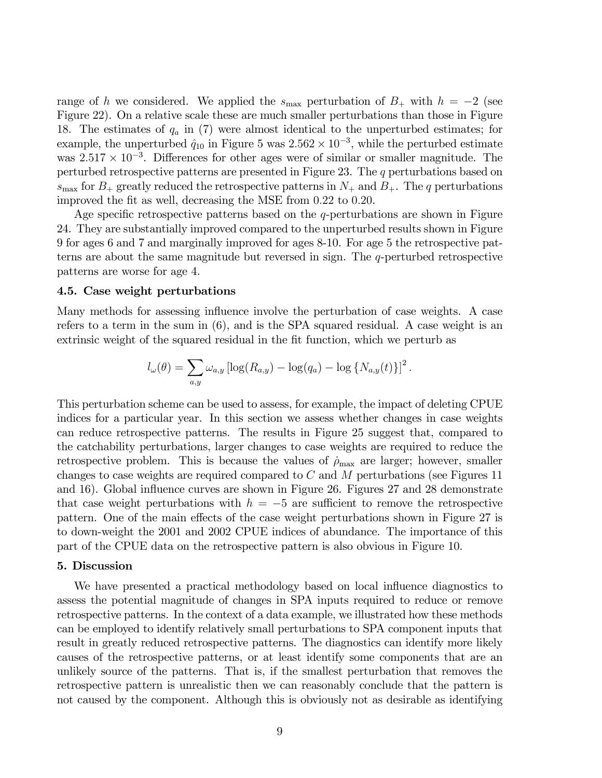range of h we considered. We applied the  $s_{\text{max}}$  perturbation of  $B_+$  with  $h = -2$  (see Figure 22). On a relative scale these are much smaller perturbations than those in Figure 18. The estimates of  $q_a$  in (7) were almost identical to the unperturbed estimates; for example, the unperturbed  $\hat{q}_{10}$  in Figure 5 was  $2.562 \times 10^{-3}$ , while the perturbed estimate was  $2.517 \times 10^{-3}$ . Differences for other ages were of similar or smaller magnitude. The perturbed retrospective patterns are presented in Figure 23. The q perturbations based on  $s_{\text{max}}$  for  $B_+$  greatly reduced the retrospective patterns in  $N_+$  and  $B_+$ . The q perturbations improved the fit as well, decreasing the MSE from 0.22 to 0.20.

Age specific retrospective patterns based on the  $q$ -perturbations are shown in Figure 24. They are substantially improved compared to the unperturbed results shown in Figure 9 for ages 6 and 7 and marginally improved for ages 8-10. For age 5 the retrospective patterns are about the same magnitude but reversed in sign. The q-perturbed retrospective patterns are worse for age 4.

### 4.5. Case weight perturbations

Many methods for assessing influence involve the perturbation of case weights. A case refers to a term in the sum in (6), and is the SPA squared residual. A case weight is an extrinsic weight of the squared residual in the fit function, which we perturb as

$$
l_{\omega}(\theta) = \sum_{a,y} \omega_{a,y} \left[ \log(R_{a,y}) - \log(q_a) - \log\{N_{a,y}(t)\} \right]^2.
$$

This perturbation scheme can be used to assess, for example, the impact of deleting CPUE indices for a particular year. In this section we assess whether changes in case weights can reduce retrospective patterns. The results in Figure 25 suggest that, compared to the catchability perturbations, larger changes to case weights are required to reduce the retrospective problem. This is because the values of  $\rho_{\text{max}}$  are larger; however, smaller changes to case weights are required compared to  $C$  and  $M$  perturbations (see Figures 11) and 16). Global influence curves are shown in Figure 26. Figures 27 and 28 demonstrate that case weight perturbations with  $h = -5$  are sufficient to remove the retrospective pattern. One of the main effects of the case weight perturbations shown in Figure 27 is to down-weight the 2001 and 2002 CPUE indices of abundance. The importance of this part of the CPUE data on the retrospective pattern is also obvious in Figure 10.

#### 5. Discussion

We have presented a practical methodology based on local influence diagnostics to assess the potential magnitude of changes in SPA inputs required to reduce or remove retrospective patterns. In the context of a data example, we illustrated how these methods can be employed to identify relatively small perturbations to SPA component inputs that result in greatly reduced retrospective patterns. The diagnostics can identify more likely causes of the retrospective patterns, or at least identify some components that are an unlikely source of the patterns. That is, if the smallest perturbation that removes the retrospective pattern is unrealistic then we can reasonably conclude that the pattern is not caused by the component. Although this is obviously not as desirable as identifying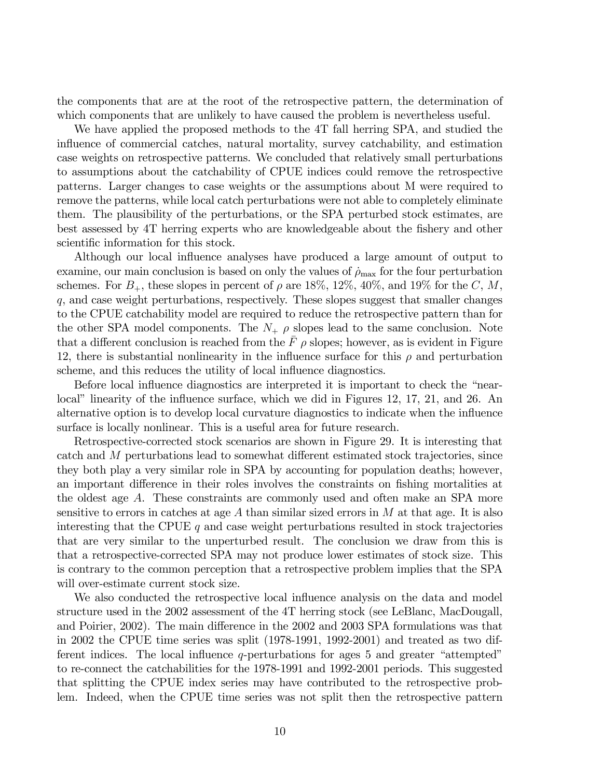the components that are at the root of the retrospective pattern, the determination of which components that are unlikely to have caused the problem is nevertheless useful.

We have applied the proposed methods to the 4T fall herring SPA, and studied the influence of commercial catches, natural mortality, survey catchability, and estimation case weights on retrospective patterns. We concluded that relatively small perturbations to assumptions about the catchability of CPUE indices could remove the retrospective patterns. Larger changes to case weights or the assumptions about M were required to remove the patterns, while local catch perturbations were not able to completely eliminate them. The plausibility of the perturbations, or the SPA perturbed stock estimates, are best assessed by 4T herring experts who are knowledgeable about the fishery and other scientific information for this stock.

Although our local influence analyses have produced a large amount of output to examine, our main conclusion is based on only the values of  $\dot{\rho}_{\rm max}$  for the four perturbation schemes. For  $B_+$ , these slopes in percent of  $\rho$  are 18%, 12%, 40%, and 19% for the C, M, q, and case weight perturbations, respectively. These slopes suggest that smaller changes to the CPUE catchability model are required to reduce the retrospective pattern than for the other SPA model components. The  $N_+$   $\rho$  slopes lead to the same conclusion. Note that a different conclusion is reached from the  $\bar{F}$   $\rho$  slopes; however, as is evident in Figure 12, there is substantial nonlinearity in the influence surface for this  $\rho$  and perturbation scheme, and this reduces the utility of local influence diagnostics.

Before local influence diagnostics are interpreted it is important to check the "nearlocal" linearity of the influence surface, which we did in Figures 12, 17, 21, and 26. An alternative option is to develop local curvature diagnostics to indicate when the influence surface is locally nonlinear. This is a useful area for future research.

Retrospective-corrected stock scenarios are shown in Figure 29. It is interesting that catch and M perturbations lead to somewhat different estimated stock trajectories, since they both play a very similar role in SPA by accounting for population deaths; however, an important difference in their roles involves the constraints on fishing mortalities at the oldest age A. These constraints are commonly used and often make an SPA more sensitive to errors in catches at age  $A$  than similar sized errors in  $M$  at that age. It is also interesting that the CPUE q and case weight perturbations resulted in stock trajectories that are very similar to the unperturbed result. The conclusion we draw from this is that a retrospective-corrected SPA may not produce lower estimates of stock size. This is contrary to the common perception that a retrospective problem implies that the SPA will over-estimate current stock size.

We also conducted the retrospective local influence analysis on the data and model structure used in the 2002 assessment of the 4T herring stock (see LeBlanc, MacDougall, and Poirier, 2002). The main difference in the 2002 and 2003 SPA formulations was that in 2002 the CPUE time series was split (1978-1991, 1992-2001) and treated as two different indices. The local influence  $q$ -perturbations for ages 5 and greater "attempted" to re-connect the catchabilities for the 1978-1991 and 1992-2001 periods. This suggested that splitting the CPUE index series may have contributed to the retrospective problem. Indeed, when the CPUE time series was not split then the retrospective pattern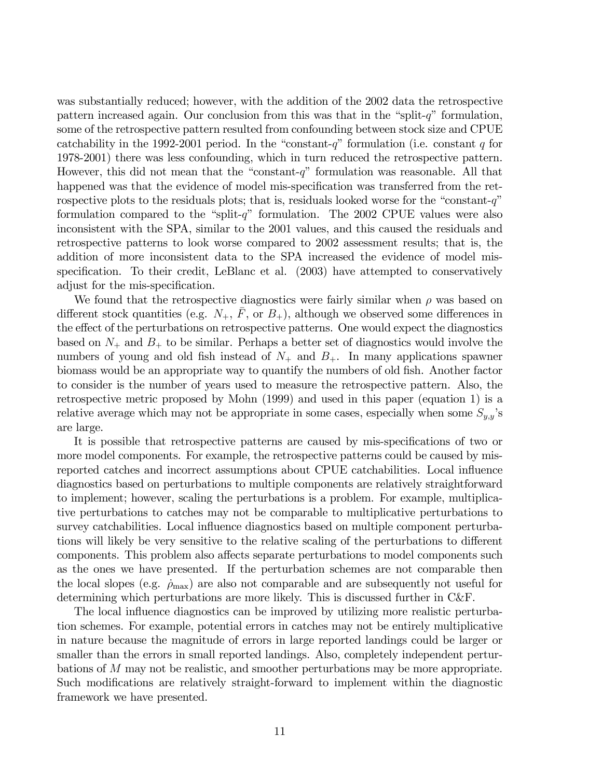was substantially reduced; however, with the addition of the 2002 data the retrospective pattern increased again. Our conclusion from this was that in the "split- $q$ " formulation, some of the retrospective pattern resulted from confounding between stock size and CPUE catchability in the 1992-2001 period. In the "constant-q" formulation (i.e. constant q for 1978-2001) there was less confounding, which in turn reduced the retrospective pattern. However, this did not mean that the "constant-q" formulation was reasonable. All that happened was that the evidence of model mis-specification was transferred from the retrospective plots to the residuals plots; that is, residuals looked worse for the "constant- $q$ " formulation compared to the "split-q" formulation. The  $2002$  CPUE values were also inconsistent with the SPA, similar to the 2001 values, and this caused the residuals and retrospective patterns to look worse compared to 2002 assessment results; that is, the addition of more inconsistent data to the SPA increased the evidence of model misspecification. To their credit, LeBlanc et al. (2003) have attempted to conservatively adjust for the mis-specification.

We found that the retrospective diagnostics were fairly similar when  $\rho$  was based on different stock quantities (e.g.  $N_+$ ,  $\bar{F}$ , or  $B_+$ ), although we observed some differences in the effect of the perturbations on retrospective patterns. One would expect the diagnostics based on  $N_+$  and  $B_+$  to be similar. Perhaps a better set of diagnostics would involve the numbers of young and old fish instead of  $N_{+}$  and  $B_{+}$ . In many applications spawner biomass would be an appropriate way to quantify the numbers of old fish. Another factor to consider is the number of years used to measure the retrospective pattern. Also, the retrospective metric proposed by Mohn (1999) and used in this paper (equation 1) is a relative average which may not be appropriate in some cases, especially when some  $S_{y,y}$ 's are large.

It is possible that retrospective patterns are caused by mis-specifications of two or more model components. For example, the retrospective patterns could be caused by misreported catches and incorrect assumptions about CPUE catchabilities. Local influence diagnostics based on perturbations to multiple components are relatively straightforward to implement; however, scaling the perturbations is a problem. For example, multiplicative perturbations to catches may not be comparable to multiplicative perturbations to survey catchabilities. Local influence diagnostics based on multiple component perturbations will likely be very sensitive to the relative scaling of the perturbations to different components. This problem also affects separate perturbations to model components such as the ones we have presented. If the perturbation schemes are not comparable then the local slopes (e.g.  $\dot{\rho}_{\text{max}}$ ) are also not comparable and are subsequently not useful for determining which perturbations are more likely. This is discussed further in C&F.

The local influence diagnostics can be improved by utilizing more realistic perturbation schemes. For example, potential errors in catches may not be entirely multiplicative in nature because the magnitude of errors in large reported landings could be larger or smaller than the errors in small reported landings. Also, completely independent perturbations of M may not be realistic, and smoother perturbations may be more appropriate. Such modifications are relatively straight-forward to implement within the diagnostic framework we have presented.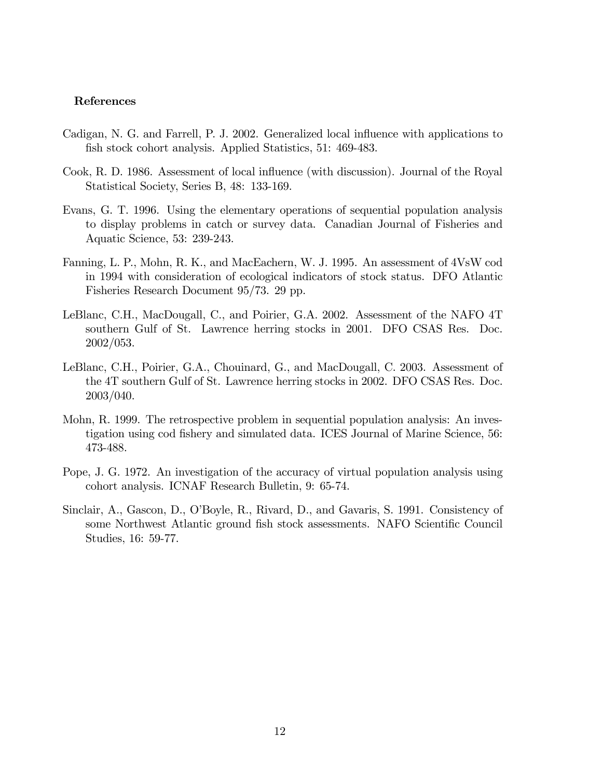#### References

- Cadigan, N. G. and Farrell, P. J. 2002. Generalized local influence with applications to fish stock cohort analysis. Applied Statistics, 51: 469-483.
- Cook, R. D. 1986. Assessment of local influence (with discussion). Journal of the Royal Statistical Society, Series B, 48: 133-169.
- Evans, G. T. 1996. Using the elementary operations of sequential population analysis to display problems in catch or survey data. Canadian Journal of Fisheries and Aquatic Science, 53: 239-243.
- Fanning, L. P., Mohn, R. K., and MacEachern, W. J. 1995. An assessment of 4VsW cod in 1994 with consideration of ecological indicators of stock status. DFO Atlantic Fisheries Research Document 95/73. 29 pp.
- LeBlanc, C.H., MacDougall, C., and Poirier, G.A. 2002. Assessment of the NAFO 4T southern Gulf of St. Lawrence herring stocks in 2001. DFO CSAS Res. Doc. 2002/053.
- LeBlanc, C.H., Poirier, G.A., Chouinard, G., and MacDougall, C. 2003. Assessment of the 4T southern Gulf of St. Lawrence herring stocks in 2002. DFO CSAS Res. Doc. 2003/040.
- Mohn, R. 1999. The retrospective problem in sequential population analysis: An investigation using cod fishery and simulated data. ICES Journal of Marine Science, 56: 473-488.
- Pope, J. G. 1972. An investigation of the accuracy of virtual population analysis using cohort analysis. ICNAF Research Bulletin, 9: 65-74.
- Sinclair, A., Gascon, D., O'Boyle, R., Rivard, D., and Gavaris, S. 1991. Consistency of some Northwest Atlantic ground fish stock assessments. NAFO Scientific Council Studies, 16: 59-77.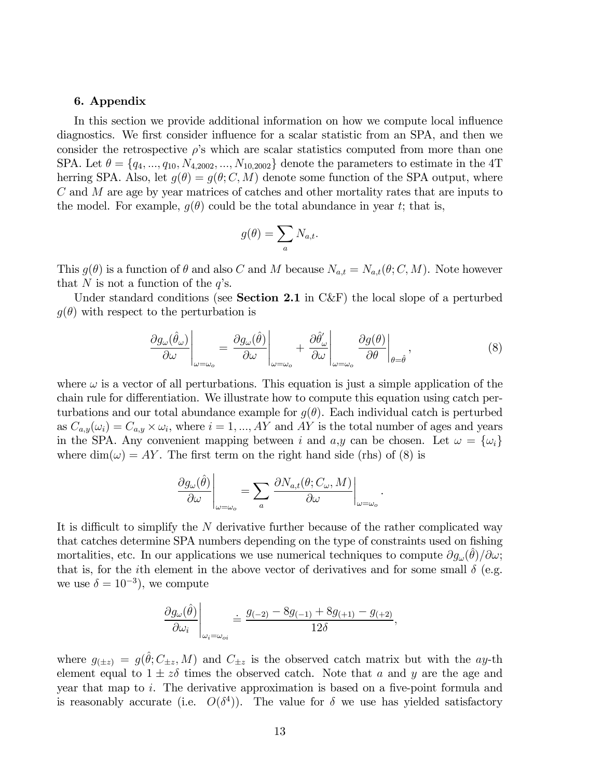#### 6. Appendix

In this section we provide additional information on how we compute local influence diagnostics. We first consider influence for a scalar statistic from an SPA, and then we consider the retrospective  $\rho$ 's which are scalar statistics computed from more than one SPA. Let  $\theta = \{q_4, ..., q_{10}, N_{4,2002}, ..., N_{10,2002}\}\$  denote the parameters to estimate in the 4T herring SPA. Also, let  $g(\theta) = g(\theta; C, M)$  denote some function of the SPA output, where C and M are age by year matrices of catches and other mortality rates that are inputs to the model. For example,  $g(\theta)$  could be the total abundance in year t; that is,

$$
g(\theta) = \sum_{a} N_{a,t}.
$$

This  $g(\theta)$  is a function of  $\theta$  and also C and M because  $N_{a,t} = N_{a,t}(\theta; C, M)$ . Note however that N is not a function of the  $q$ 's.

Under standard conditions (see **Section 2.1** in C&F) the local slope of a perturbed  $q(\theta)$  with respect to the perturbation is

$$
\left. \frac{\partial g_{\omega}(\hat{\theta}_{\omega})}{\partial \omega} \right|_{\omega=\omega_o} = \left. \frac{\partial g_{\omega}(\hat{\theta})}{\partial \omega} \right|_{\omega=\omega_o} + \left. \frac{\partial \hat{\theta}'_{\omega}}{\partial \omega} \right|_{\omega=\omega_o} \left. \frac{\partial g(\theta)}{\partial \theta} \right|_{\theta=\hat{\theta}}, \tag{8}
$$

.

where  $\omega$  is a vector of all perturbations. This equation is just a simple application of the chain rule for differentiation. We illustrate how to compute this equation using catch perturbations and our total abundance example for  $g(\theta)$ . Each individual catch is perturbed as  $C_{a,y}(\omega_i) = C_{a,y} \times \omega_i$ , where  $i = 1, ..., AY$  and AY is the total number of ages and years in the SPA. Any convenient mapping between i and  $a,y$  can be chosen. Let  $\omega = {\omega_i}$ where  $\dim(\omega) = AY$ . The first term on the right hand side (rhs) of (8) is

$$
\left.\frac{\partial g_\omega(\hat{\theta})}{\partial \omega}\right|_{\omega=\omega_o}=\sum_a\left.\frac{\partial N_{a,t}(\theta;C_\omega,M)}{\partial \omega}\right|_{\omega=\omega_o}
$$

It is difficult to simplify the N derivative further because of the rather complicated way that catches determine SPA numbers depending on the type of constraints used on fishing mortalities, etc. In our applications we use numerical techniques to compute  $\partial g_{\omega}(\theta)/\partial \omega$ ; that is, for the *i*th element in the above vector of derivatives and for some small  $\delta$  (e.g. we use  $\delta = 10^{-3}$ , we compute

$$
\left.\frac{\partial g_\omega(\hat{\theta})}{\partial \omega_i}\right|_{\omega_i=\omega_{oi}} \doteq \frac{g_{(-2)}-8g_{(-1)}+8g_{(+1)}-g_{(+2)}}{12\delta},
$$

where  $g_{(\pm z)} = g(\hat{\theta}; C_{\pm z}, M)$  and  $C_{\pm z}$  is the observed catch matrix but with the ay-th element equal to  $1 \pm z\delta$  times the observed catch. Note that a and y are the age and year that map to i. The derivative approximation is based on a five-point formula and is reasonably accurate (i.e.  $O(\delta^4)$ ). The value for  $\delta$  we use has yielded satisfactory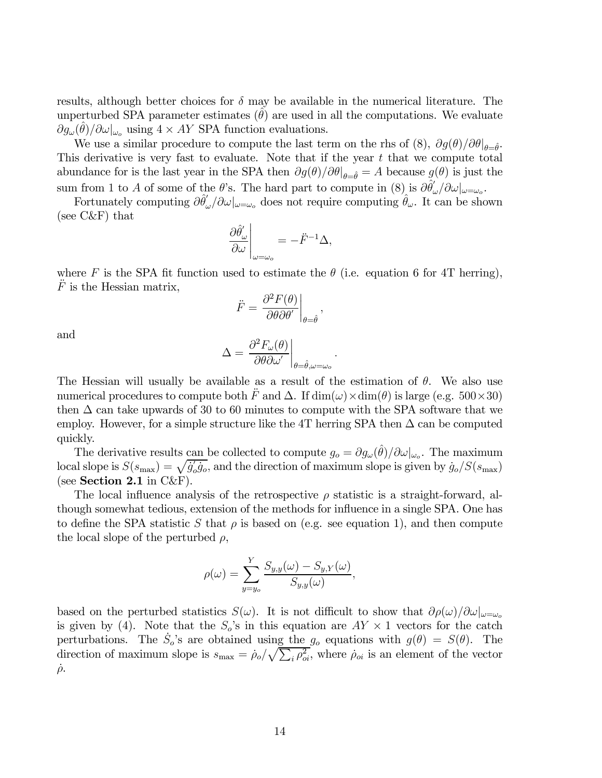results, although better choices for  $\delta$  may be available in the numerical literature. The unperturbed SPA parameter estimates  $(\theta)$  are used in all the computations. We evaluate  $\partial g_{\omega}(\theta)/\partial \omega|_{\omega_o}$  using  $4 \times AY$  SPA function evaluations.

We use a similar procedure to compute the last term on the rhs of  $(8)$ ,  $\partial g(\theta)/\partial \theta|_{\theta=\hat{\theta}}$ . This derivative is very fast to evaluate. Note that if the year  $t$  that we compute total abundance for is the last year in the SPA then  $\partial g(\theta)/\partial \theta|_{\theta=\hat{\theta}} = A$  because  $g(\theta)$  is just the sum from 1 to A of some of the  $\theta$ 's. The hard part to compute in  $(8)$  is  $\frac{\partial \hat{\theta}'_{\omega}}{\partial \theta'_{\omega}}/\partial \omega|_{\omega=\omega_o}$ .

Fortunately computing  $\partial \hat{\theta}'_{\omega}/\partial \omega|_{\omega=\omega_o}$  does not require computing  $\hat{\theta}_{\omega}$ . It can be shown (see C&F) that

$$
\left. \frac{\partial \hat{\theta}'_{\omega}}{\partial \omega} \right|_{\omega = \omega_o} = -\ddot{F}^{-1} \Delta,
$$

where F is the SPA fit function used to estimate the  $\theta$  (i.e. equation 6 for 4T herring),  $\ddot{F}$  is the Hessian matrix,

$$
\ddot{F} = \left. \frac{\partial^2 F(\theta)}{\partial \theta \partial \theta'} \right|_{\theta = \hat{\theta}},
$$

and

$$
\Delta = \frac{\partial^2 F_{\omega}(\theta)}{\partial \theta \partial \omega'}\bigg|_{\theta = \hat{\theta}, \omega = \omega_o}
$$

.

The Hessian will usually be available as a result of the estimation of  $\theta$ . We also use numerical procedures to compute both  $\ddot{F}$  and  $\Delta$ . If  $\dim(\omega) \times \dim(\theta)$  is large (e.g. 500×30) then  $\Delta$  can take upwards of 30 to 60 minutes to compute with the SPA software that we employ. However, for a simple structure like the 4T herring SPA then  $\Delta$  can be computed quickly.

The derivative results can be collected to compute  $g_o = \partial g_\omega(\hat{\theta})/\partial \omega|_{\omega_o}$ . The maximum local slope is  $S(s_{\text{max}}) = \sqrt{\dot{g}'_o \dot{g}_o}$ , and the direction of maximum slope is given by  $\dot{g}_o/S(s_{\text{max}})$ (see Section 2.1 in  $C\&F$ ).

The local influence analysis of the retrospective  $\rho$  statistic is a straight-forward, although somewhat tedious, extension of the methods for influence in a single SPA. One has to define the SPA statistic S that  $\rho$  is based on (e.g. see equation 1), and then compute the local slope of the perturbed  $\rho$ ,

$$
\rho(\omega) = \sum_{y=y_o}^{Y} \frac{S_{y,y}(\omega) - S_{y,Y}(\omega)}{S_{y,y}(\omega)},
$$

based on the perturbed statistics  $S(\omega)$ . It is not difficult to show that  $\partial \rho(\omega)/\partial \omega|_{\omega=\omega_o}$ is given by (4). Note that the  $S_o$ 's in this equation are  $AY \times 1$  vectors for the catch perturbations. The  $\dot{S}_o$ 's are obtained using the  $g_o$  equations with  $g(\theta) = S(\theta)$ . The direction of maximum slope is  $s_{\text{max}} = \rho_o / \sqrt{\sum_i \rho_{oi}^2}$ , where  $\rho_{oi}$  is an element of the vector  $\dot{\rho}$ .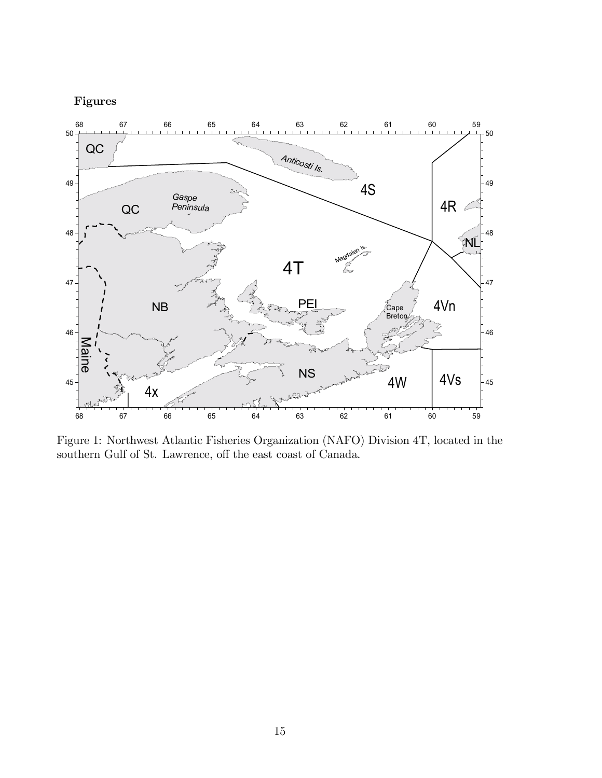# Figures



Figure 1: Northwest Atlantic Fisheries Organization (NAFO) Division 4T, located in the southern Gulf of St. Lawrence, off the east coast of Canada.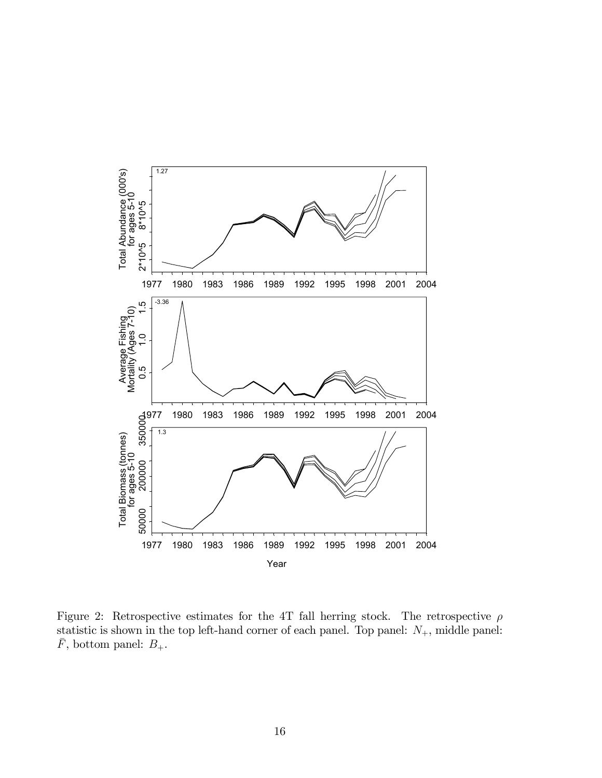

Figure 2: Retrospective estimates for the 4T fall herring stock. The retrospective  $\rho$ statistic is shown in the top left-hand corner of each panel. Top panel:  $N_{+}$ , middle panel:  $\bar{F},$  bottom panel:  $B_+.$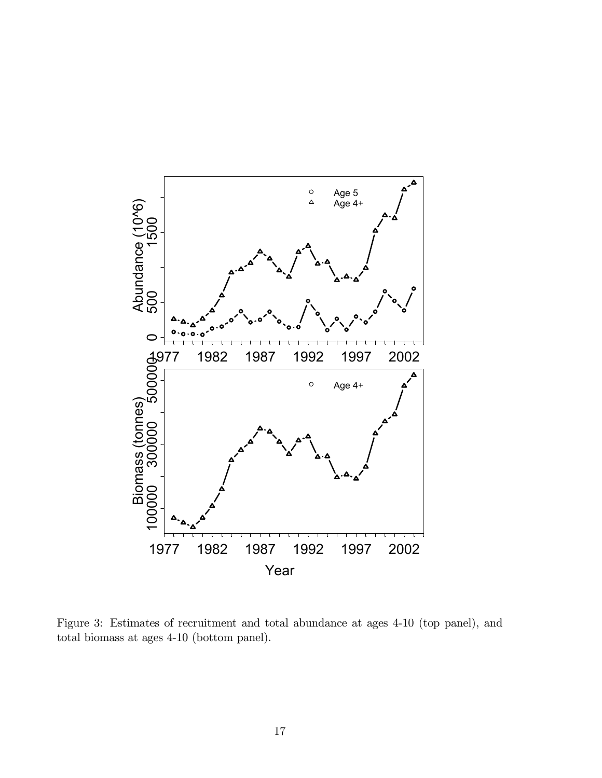

Figure 3: Estimates of recruitment and total abundance at ages 4-10 (top panel), and total biomass at ages 4-10 (bottom panel).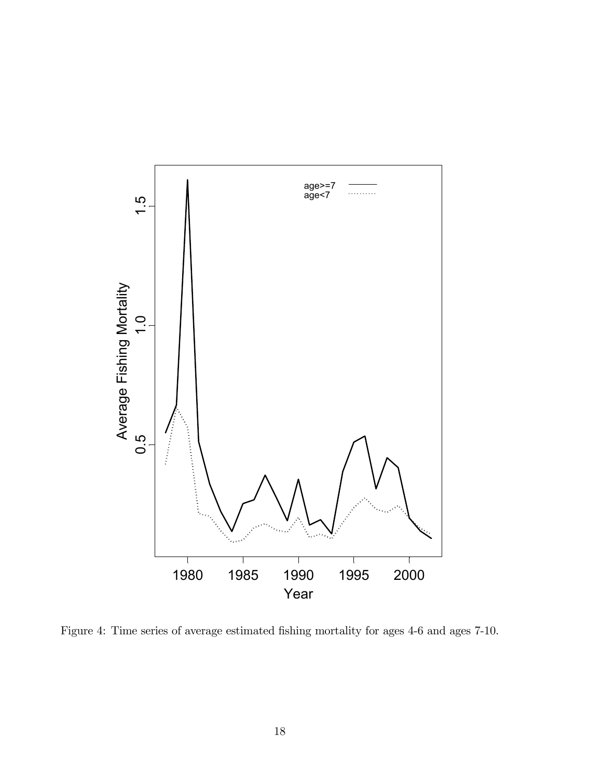

Figure 4: Time series of average estimated fishing mortality for ages 4-6 and ages 7-10.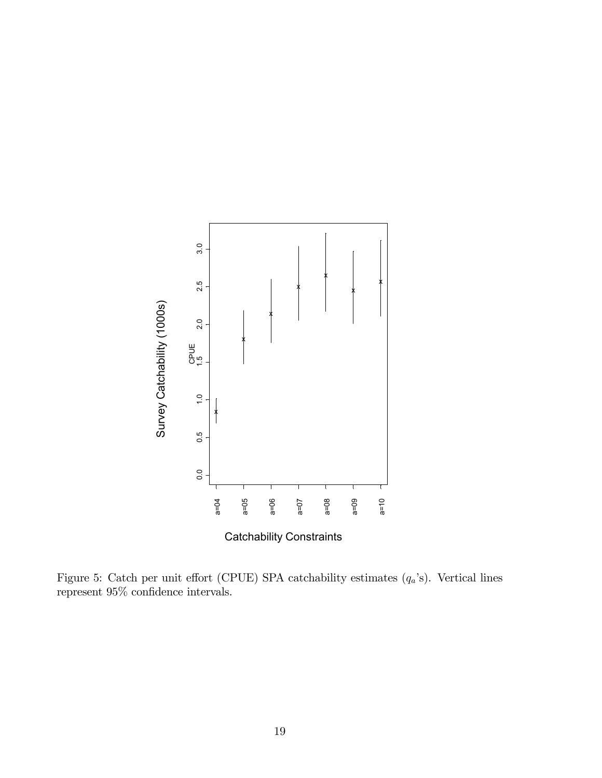

Figure 5: Catch per unit effort (CPUE) SPA catchability estimates  $(q_a)$ . Vertical lines represent 95% con fidence intervals.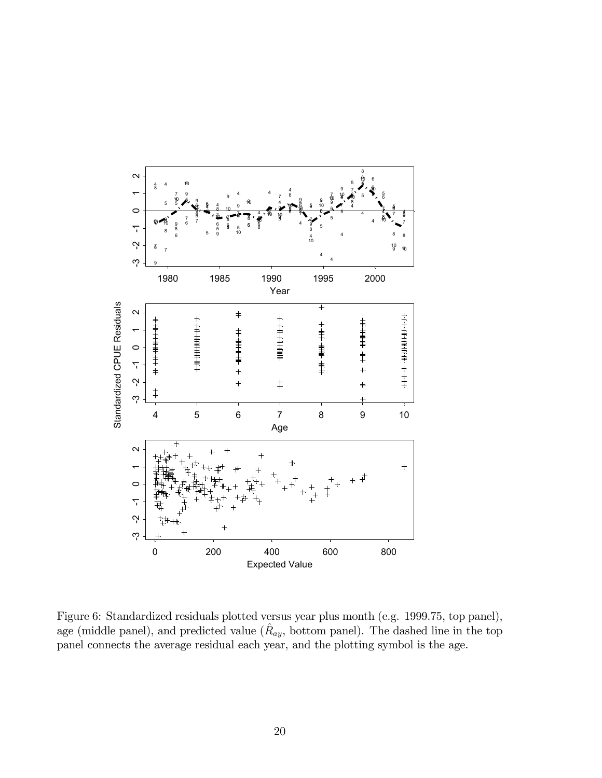

Figure 6: Standardized residuals plotted versus year plus month (e.g. 1999.75, top panel), age (middle panel), and predicted value  $(\hat{R}_{ay}, \text{ bottom panel})$ . The dashed line in the top panel connects the average residual each year, and the plotting symbol is the age.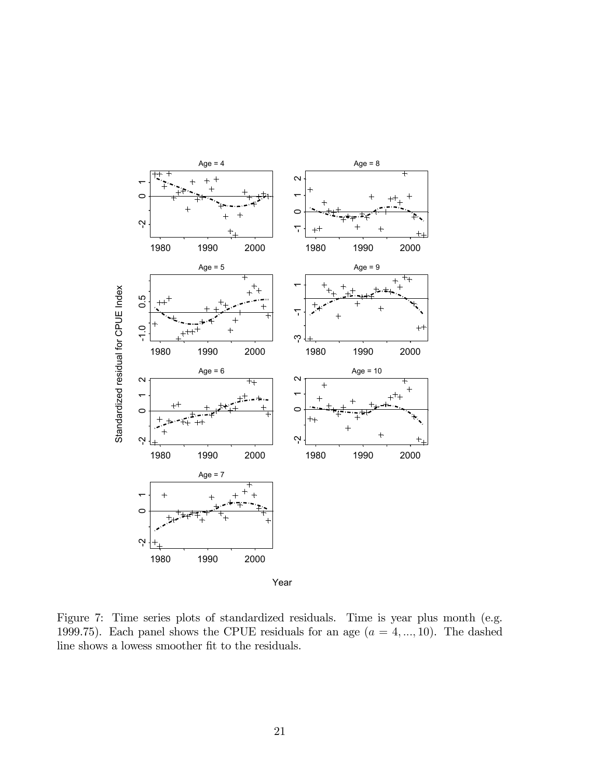

Figure 7: Time series plots of standardized residuals. Time is year plus month (e.g. 1999.75). Each panel shows the CPUE residuals for an age  $(a = 4, ..., 10)$ . The dashed line shows a lowess smoother fit to the residuals.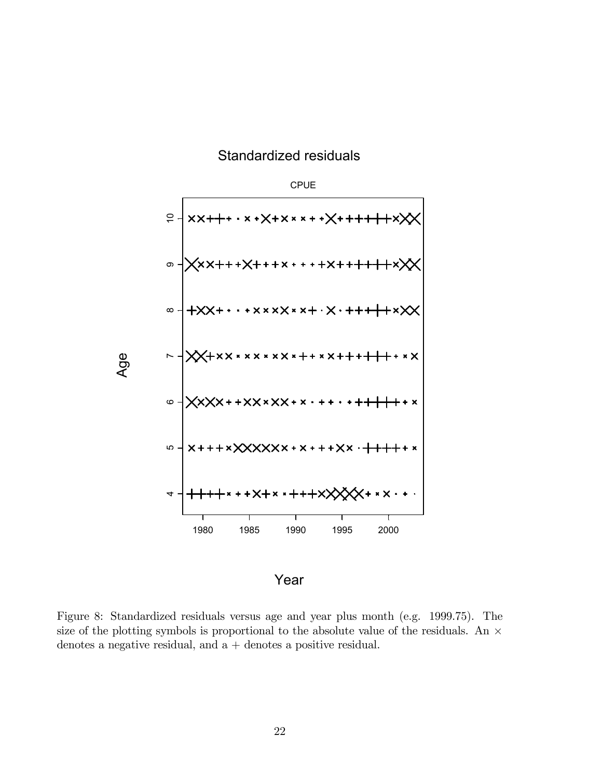# Standardized residuals



Year

Figure 8: Standardized residuals versus age and year plus month (e.g. 1999.75). The size of the plotting symbols is proportional to the absolute value of the residuals. An  $\times$ denotes a negative residual, and  $a +$  denotes a positive residual.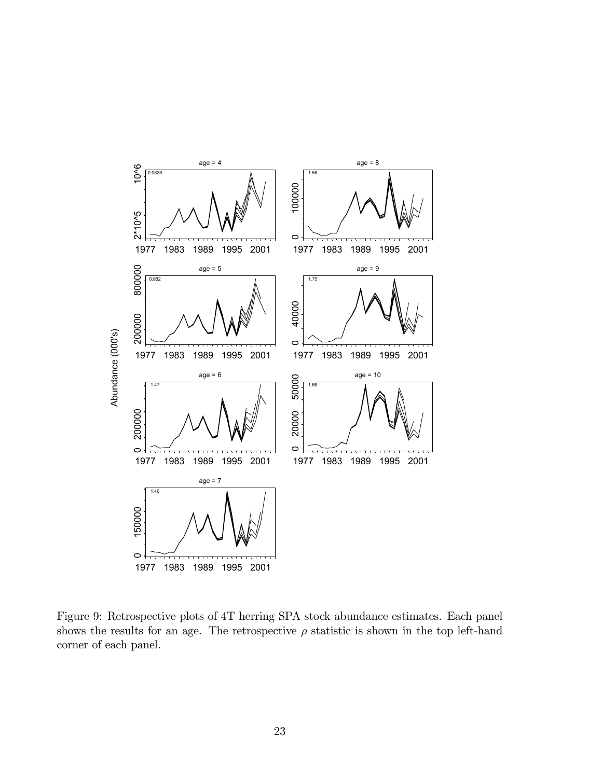

Figure 9: Retrospective plots of 4T herring SPA stock abundance estimates. Each panel shows the results for an age. The retrospective  $\rho$  statistic is shown in the top left-hand corner of each panel.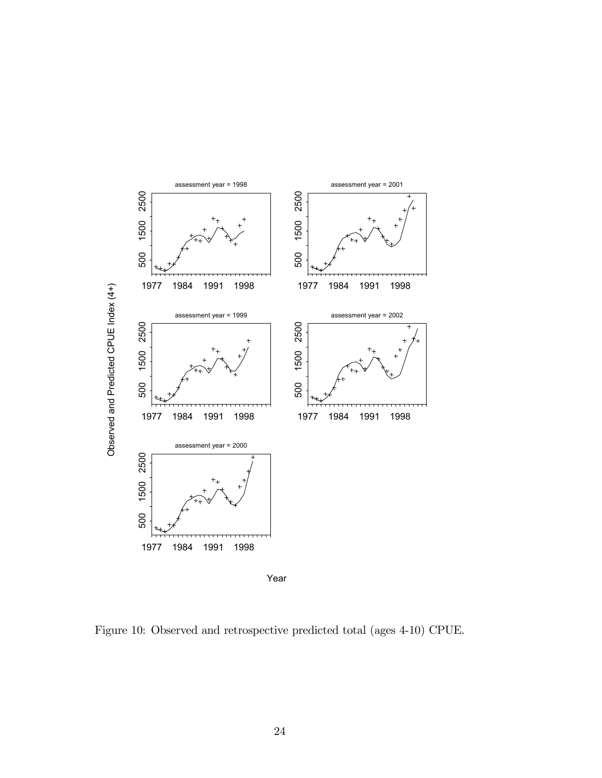

Figure 10: Observed and retrospective predicted total (ages 4-10) CPUE.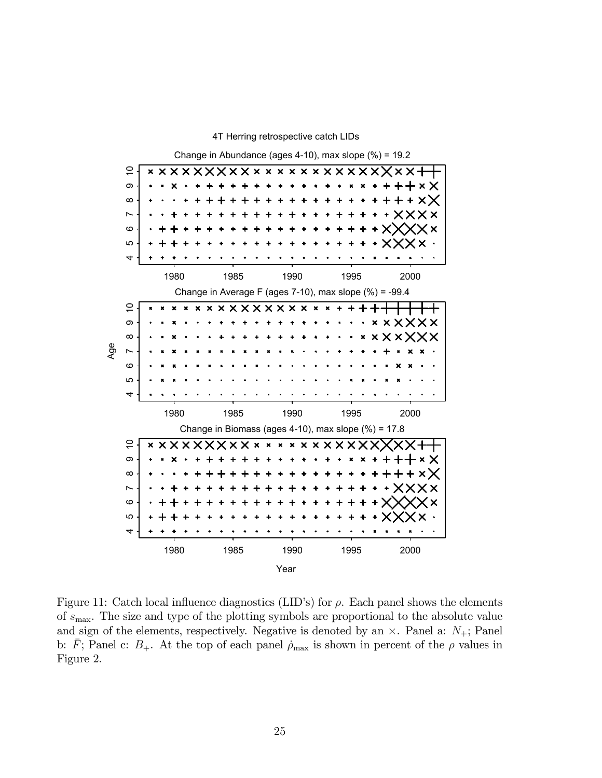

Figure 11: Catch local influence diagnostics (LID's) for  $\rho$ . Each panel shows the elements of  $s_{\text{max}}$ . The size and type of the plotting symbols are proportional to the absolute value and sign of the elements, respectively. Negative is denoted by an  $\times$ . Panel a:  $N_{+}$ ; Panel b:  $\bar{F}$ ; Panel c:  $B_+$ . At the top of each panel  $\dot{\rho}_{\text{max}}$  is shown in percent of the  $\rho$  values in Figure 2.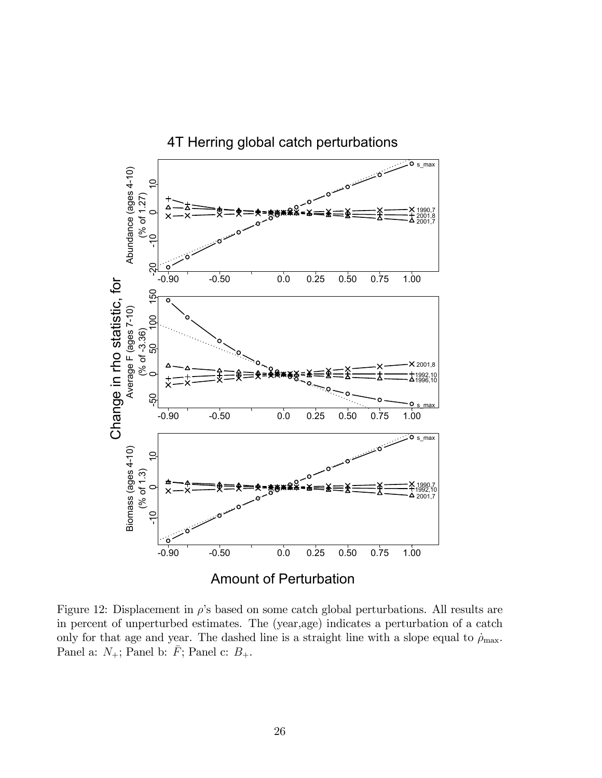

Figure 12: Displacement in  $\rho$ 's based on some catch global perturbations. All results are in percent of unperturbed estimates. The (year,age) indicates a perturbation of a catch only for that age and year. The dashed line is a straight line with a slope equal to  $\rho_{\text{max}}$ . Panel a:  $N_+$ ; Panel b:  $\bar{F}$ ; Panel c:  $B_+$ .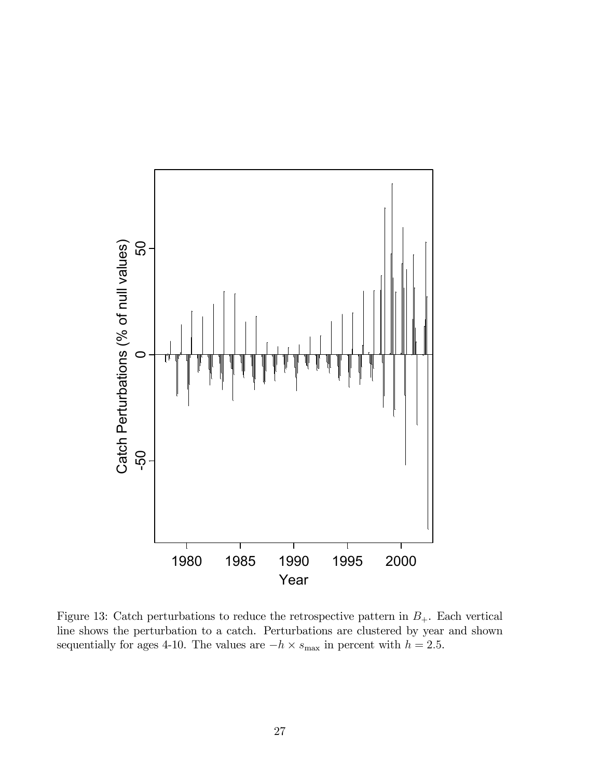

Figure 13: Catch perturbations to reduce the retrospective pattern in  $B_+$ . Each vertical line shows the perturbation to a catch. Perturbations are clustered by year and shown sequentially for ages 4-10. The values are  $-h \times s_{\text{max}}$  in percent with  $h = 2.5$ .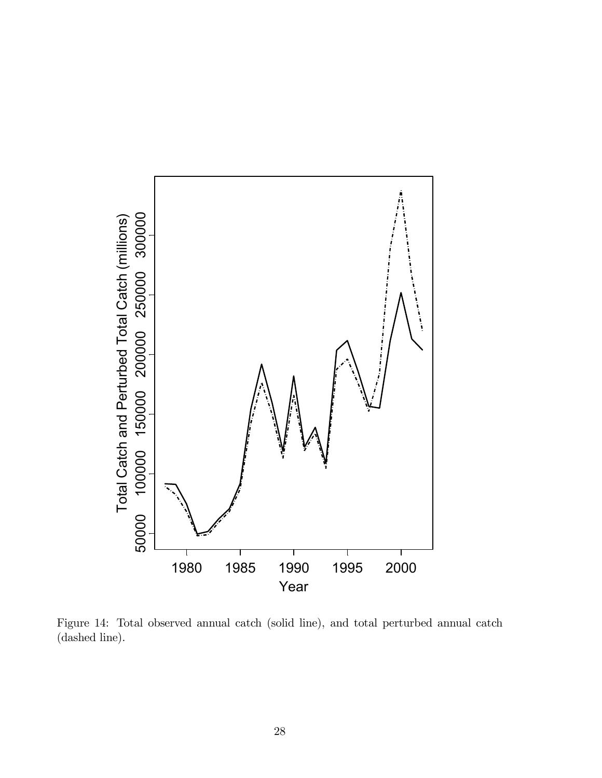

Figure 14: Total observed annual catch (solid line), and total perturbed annual catch (dashed line).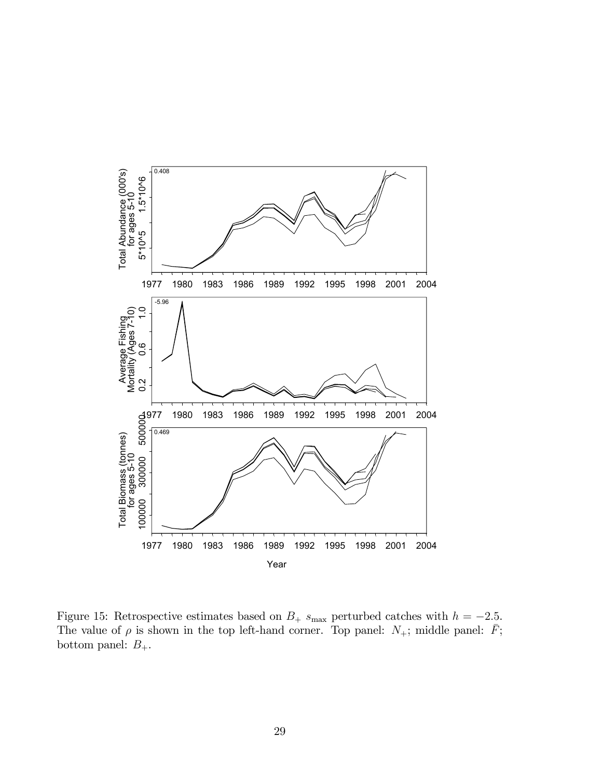

Figure 15: Retrospective estimates based on  $B_+$  s<sub>max</sub> perturbed catches with  $h = -2.5$ . The value of  $\rho$  is shown in the top left-hand corner. Top panel:  $N_{+}$ ; middle panel:  $\bar{F}$ ; bottom panel:  $B_+.$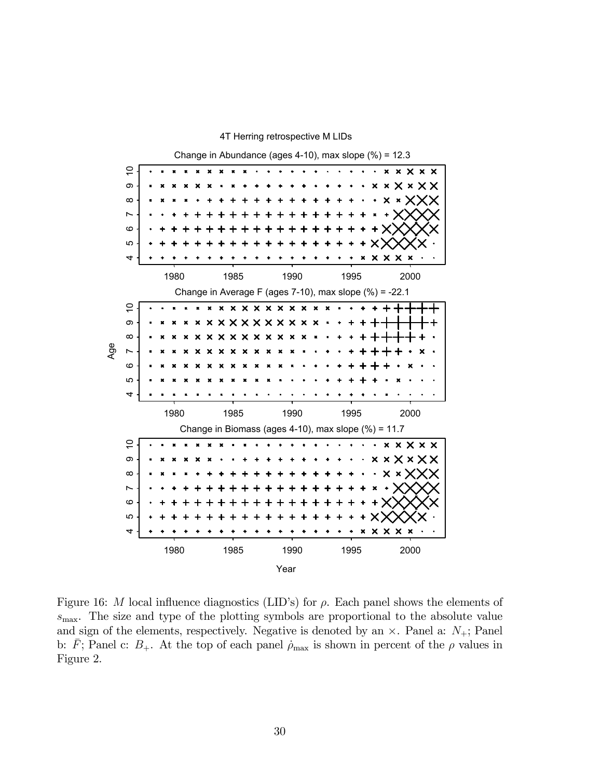

Figure 16: M local influence diagnostics (LID's) for  $\rho$ . Each panel shows the elements of  $s_{\text{max}}$ . The size and type of the plotting symbols are proportional to the absolute value and sign of the elements, respectively. Negative is denoted by an  $\times$ . Panel a:  $N_{+}$ ; Panel b:  $\bar{F}$ ; Panel c:  $B_+$ . At the top of each panel  $\dot{\rho}_{\text{max}}$  is shown in percent of the  $\rho$  values in Figure 2.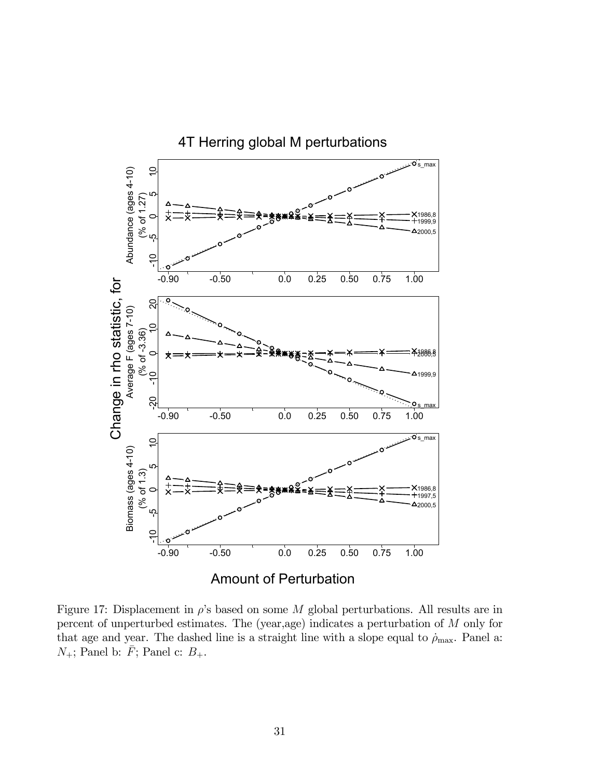

Figure 17: Displacement in  $\rho$ 's based on some M global perturbations. All results are in percent of unperturbed estimates. The (year,age) indicates a perturbation of M only for that age and year. The dashed line is a straight line with a slope equal to  $\rho_{\text{max}}$ . Panel a:  $N_+$ ; Panel b:  $\bar{F}$ ; Panel c:  $B_+$ .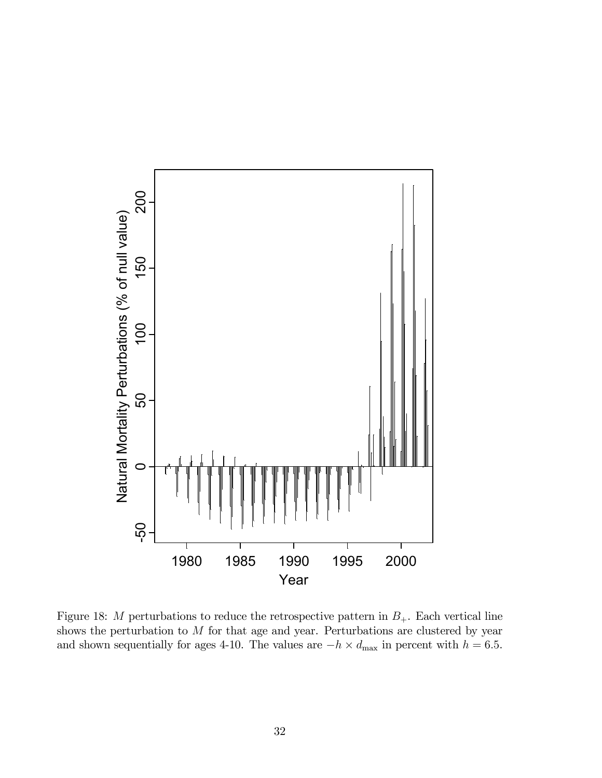

Figure 18: M perturbations to reduce the retrospective pattern in  $B_{+}$ . Each vertical line shows the perturbation to  $M$  for that age and year. Perturbations are clustered by year and shown sequentially for ages 4-10. The values are  $-h \times d_{\text{max}}$  in percent with  $h = 6.5$ .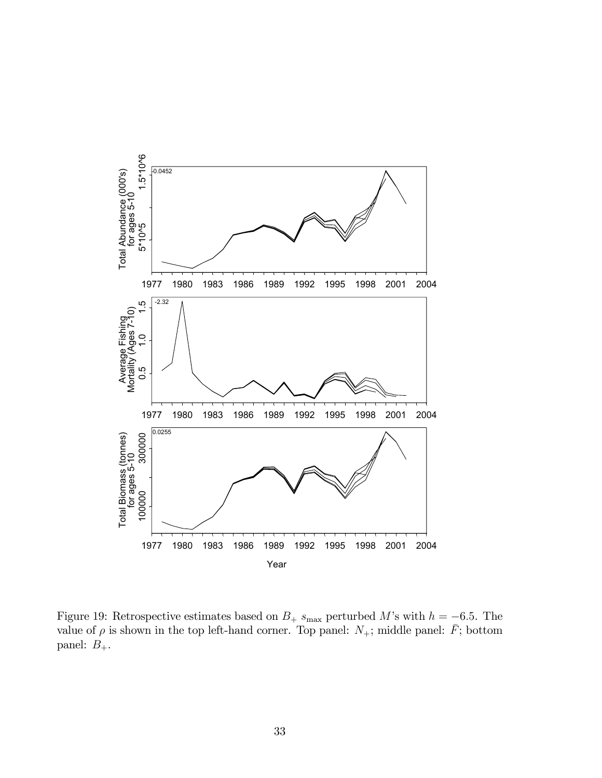

Figure 19: Retrospective estimates based on  $B_+$  s<sub>max</sub> perturbed M's with  $h = -6.5$ . The value of  $\rho$  is shown in the top left-hand corner. Top panel:  $N_+$ ; middle panel:  $\bar{F}$ ; bottom panel:  $B_+$ .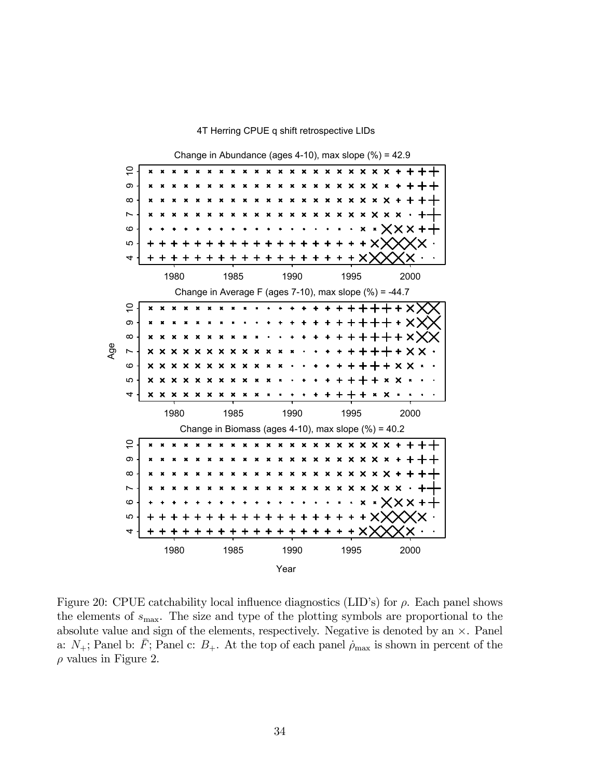

4T Herring CPUE q shift retrospective LIDs

Figure 20: CPUE catchability local influence diagnostics (LID's) for  $\rho$ . Each panel shows the elements of  $s_{\text{max}}$ . The size and type of the plotting symbols are proportional to the absolute value and sign of the elements, respectively. Negative is denoted by an  $\times$ . Panel a:  $N_{+}$ ; Panel b: F; Panel c:  $B_{+}$ . At the top of each panel  $\rho_{\text{max}}$  is shown in percent of the  $\rho$  values in Figure 2.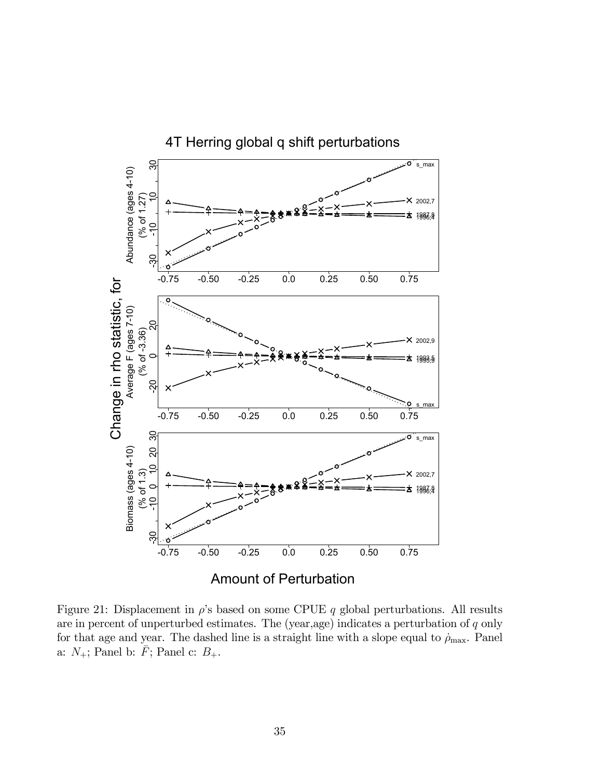

Figure 21: Displacement in  $\rho$ 's based on some CPUE q global perturbations. All results are in percent of unperturbed estimates. The (year,age) indicates a perturbation of  $q$  only for that age and year. The dashed line is a straight line with a slope equal to  $\rho_{\text{max}}$ . Panel a:  $N_+$ ; Panel b:  $\bar{F}$ ; Panel c:  $B_+$ .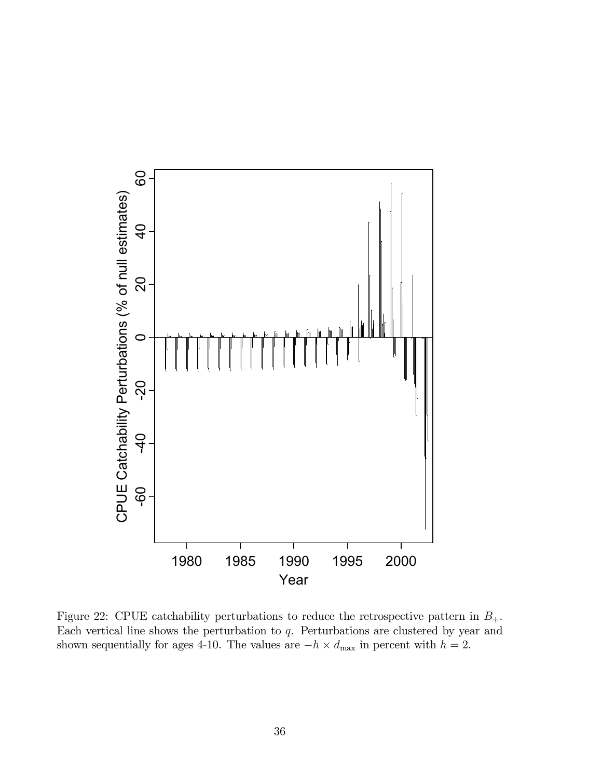

Figure 22: CPUE catchability perturbations to reduce the retrospective pattern in  $B_+$ . Each vertical line shows the perturbation to  $q$ . Perturbations are clustered by year and shown sequentially for ages 4-10. The values are  $-h \times d_{\text{max}}$  in percent with  $h = 2$ .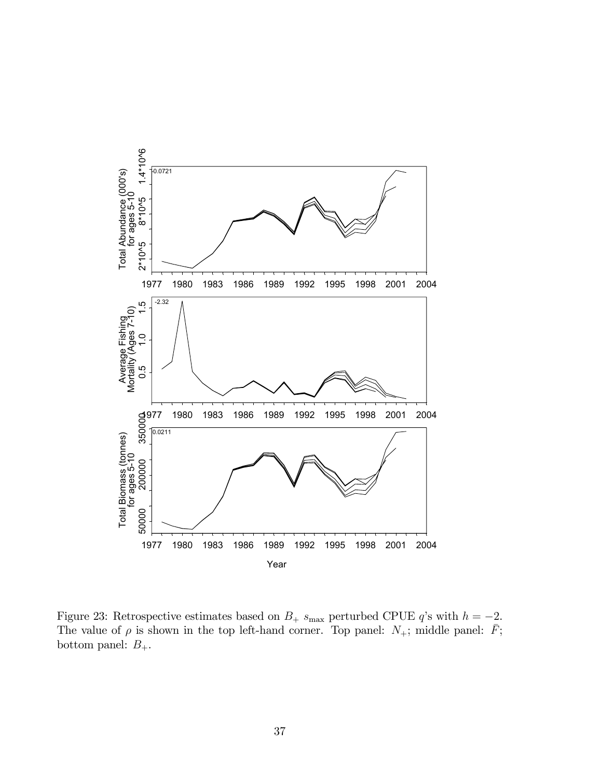

Figure 23: Retrospective estimates based on  $B_+$  s<sub>max</sub> perturbed CPUE q's with  $h = -2$ . The value of  $\rho$  is shown in the top left-hand corner. Top panel:  $N_{+}$ ; middle panel:  $\bar{F}$ ; bottom panel:  $B_+$ .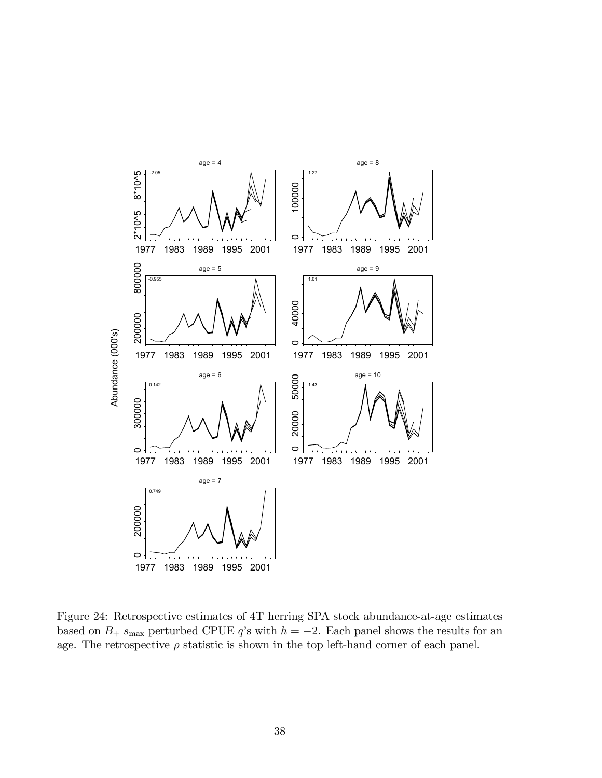

Figure 24: Retrospective estimates of 4T herring SPA stock abundance-at-age estimates based on  $B_+$  s<sub>max</sub> perturbed CPUE q's with  $h = -2$ . Each panel shows the results for an age. The retrospective  $\rho$  statistic is shown in the top left-hand corner of each panel.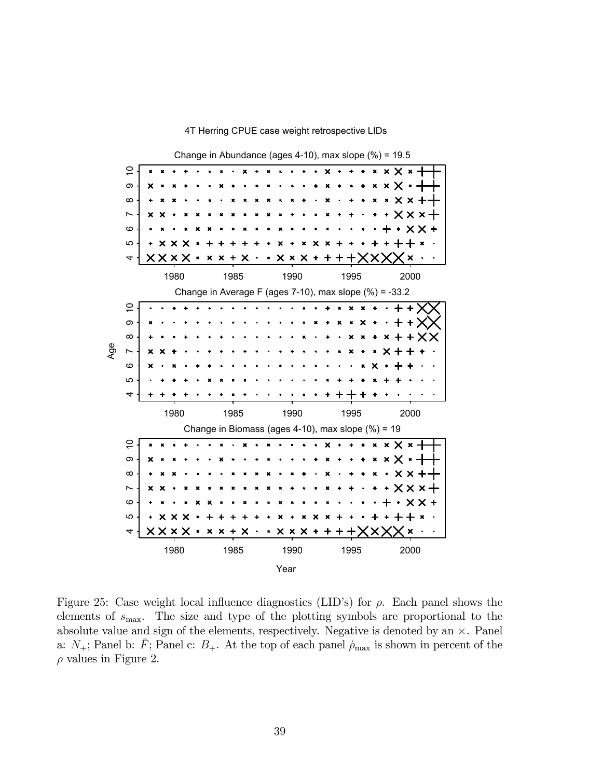

4T Herring CPUE case weight retrospective LIDs

Figure 25: Case weight local influence diagnostics (LID's) for  $\rho$ . Each panel shows the elements of  $s_{\text{max}}$ . The size and type of the plotting symbols are proportional to the absolute value and sign of the elements, respectively. Negative is denoted by an  $\times$ . Panel a:  $N_{+}$ ; Panel b:  $\bar{F}$ ; Panel c:  $B_{+}$ . At the top of each panel  $\rho_{\text{max}}$  is shown in percent of the  $\rho$  values in Figure 2.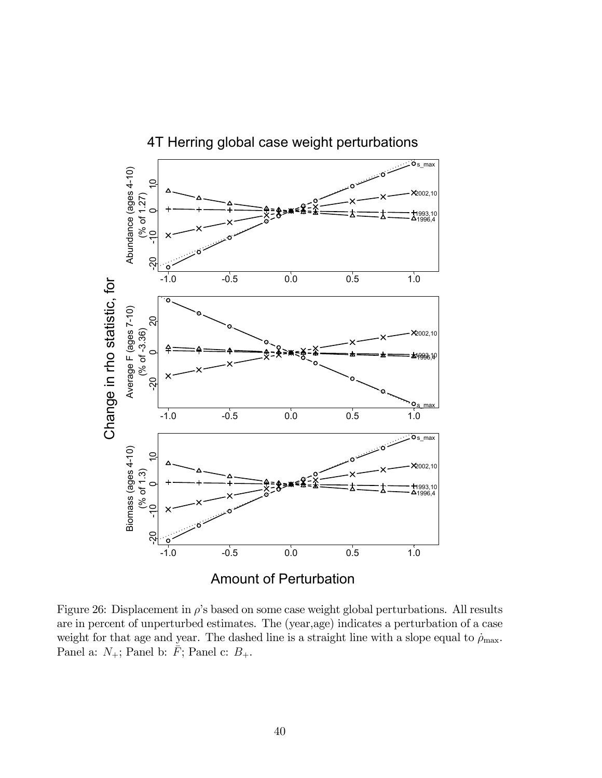

Figure 26: Displacement in  $\rho$ 's based on some case weight global perturbations. All results are in percent of unperturbed estimates. The (year,age) indicates a perturbation of a case weight for that age and year. The dashed line is a straight line with a slope equal to  $\rho_{\text{max}}$ . Panel a:  $N_+$ ; Panel b:  $\bar{F}$ ; Panel c:  $B_+$ .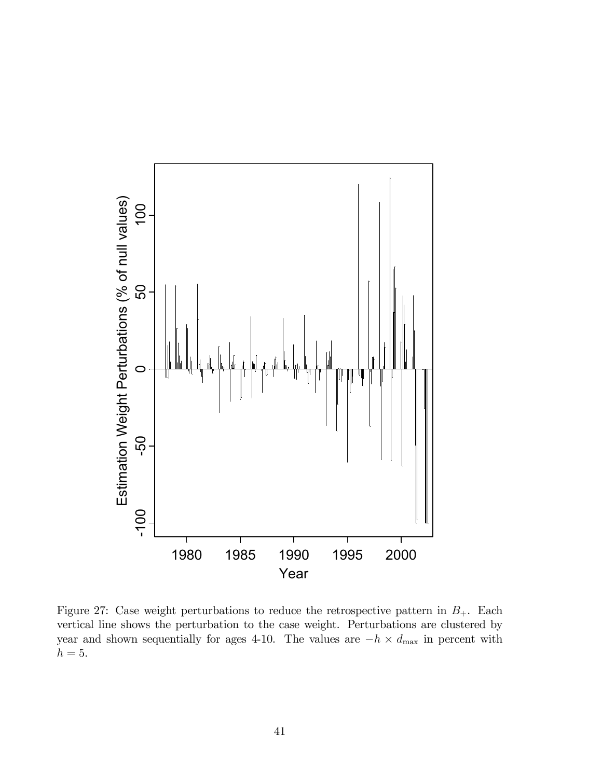

Figure 27: Case weight perturbations to reduce the retrospective pattern in  $B_+$ . Each vertical line shows the perturbation to the case weight. Perturbations are clustered by year and shown sequentially for ages 4-10. The values are  $-h \times d_{\text{max}}$  in percent with  $h = 5$ .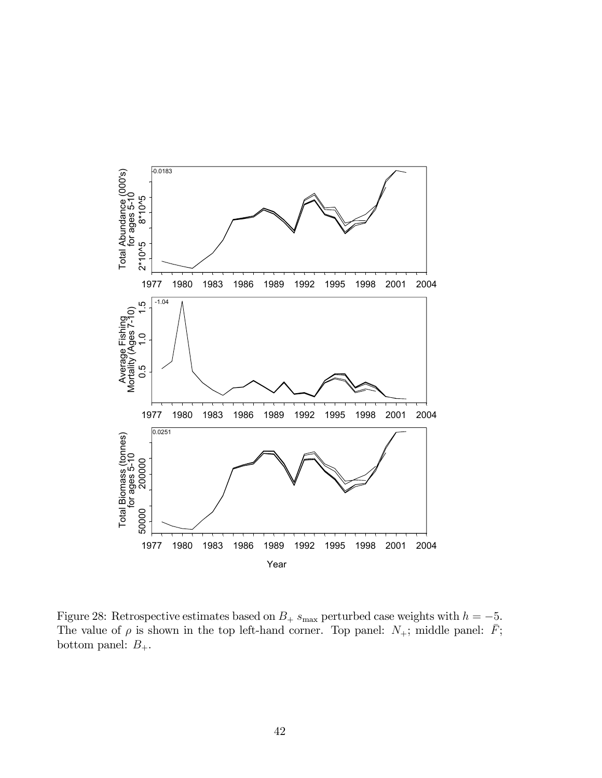

Figure 28: Retrospective estimates based on  $B_+$  s<sub>max</sub> perturbed case weights with  $h = -5$ . The value of  $\rho$  is shown in the top left-hand corner. Top panel:  $N_{+}$ ; middle panel:  $\bar{F}$ ; bottom panel:  $B_+.$